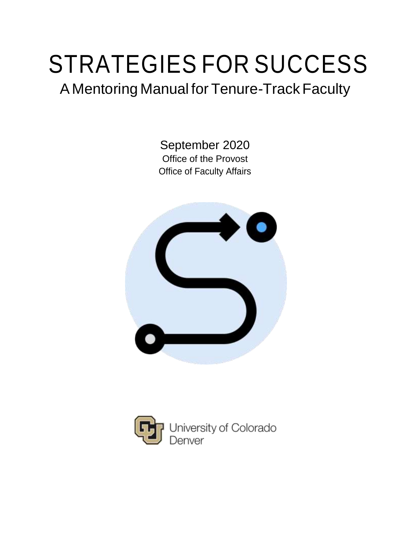# STRATEGIES FOR SUCCESS

# A Mentoring Manual for Tenure-Track Faculty

September 2020 Office of the Provost Office of Faculty Affairs



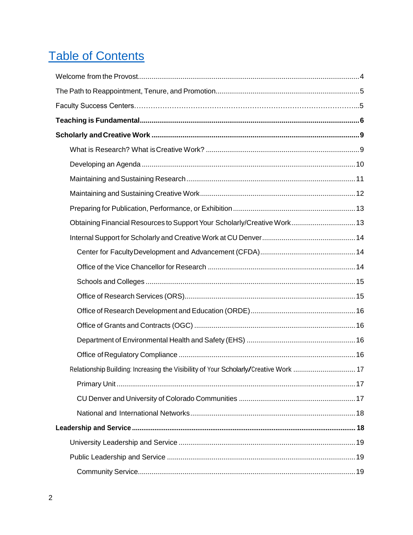# **Table of Contents**

| Obtaining Financial Resources to Support Your Scholarly/Creative Work 13             |  |
|--------------------------------------------------------------------------------------|--|
|                                                                                      |  |
|                                                                                      |  |
|                                                                                      |  |
|                                                                                      |  |
|                                                                                      |  |
|                                                                                      |  |
|                                                                                      |  |
|                                                                                      |  |
|                                                                                      |  |
| Relationship Building: Increasing the Visibility of Your Scholarly/Creative Work  17 |  |
|                                                                                      |  |
|                                                                                      |  |
|                                                                                      |  |
|                                                                                      |  |
|                                                                                      |  |
|                                                                                      |  |
|                                                                                      |  |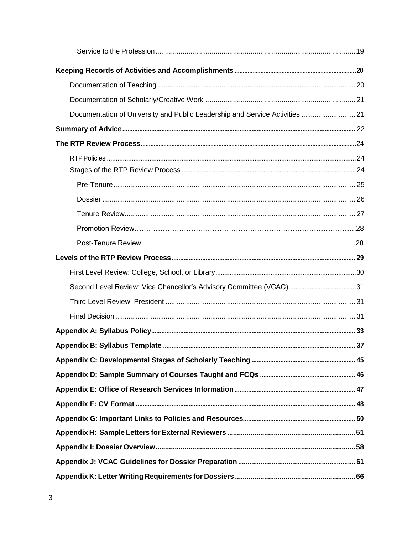| Documentation of University and Public Leadership and Service Activities  21 |  |
|------------------------------------------------------------------------------|--|
|                                                                              |  |
|                                                                              |  |
|                                                                              |  |
|                                                                              |  |
|                                                                              |  |
|                                                                              |  |
|                                                                              |  |
|                                                                              |  |
|                                                                              |  |
|                                                                              |  |
|                                                                              |  |
|                                                                              |  |
|                                                                              |  |
|                                                                              |  |
|                                                                              |  |
|                                                                              |  |
|                                                                              |  |
|                                                                              |  |
|                                                                              |  |
|                                                                              |  |
|                                                                              |  |
|                                                                              |  |
|                                                                              |  |
|                                                                              |  |
|                                                                              |  |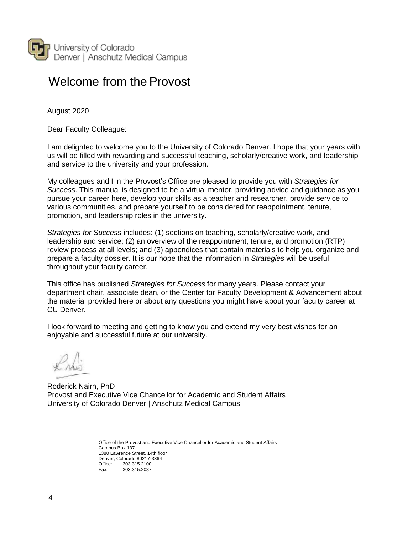

### <span id="page-3-0"></span>Welcome from the Provost

August 2020

Dear Faculty Colleague:

I am delighted to welcome you to the University of Colorado Denver. I hope that your years with us will be filled with rewarding and successful teaching, scholarly/creative work, and leadership and service to the university and your profession.

My colleagues and I in the Provost's Office are pleased to provide you with *Strategies for Success*. This manual is designed to be a virtual mentor, providing advice and guidance as you pursue your career here, develop your skills as a teacher and researcher, provide service to various communities, and prepare yourself to be considered for reappointment, tenure, promotion, and leadership roles in the university.

*Strategies for Success* includes: (1) sections on teaching, scholarly/creative work, and leadership and service; (2) an overview of the reappointment, tenure, and promotion (RTP) review process at all levels; and (3) appendices that contain materials to help you organize and prepare a faculty dossier. It is our hope that the information in *Strategies* will be useful throughout your faculty career.

This office has published *Strategies for Success* for many years. Please contact your department chair, associate dean, or the Center for Faculty Development & Advancement about the material provided here or about any questions you might have about your faculty career at CU Denver.

I look forward to meeting and getting to know you and extend my very best wishes for an enjoyable and successful future at our university.

 $\Omega$ 

Roderick Nairn, PhD Provost and Executive Vice Chancellor for Academic and Student Affairs University of Colorado Denver | Anschutz Medical Campus

> Office of the Provost and Executive Vice Chancellor for Academic and Student Affairs Campus Box 137 1380 Lawrence Street, 14th floor Denver, Colorado 80217-3364<br>Office: 303.315.2100 Office: 303.315.2100 Fax: 303.315.2087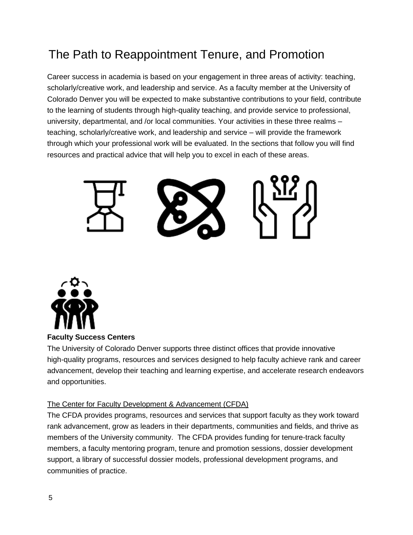# <span id="page-4-0"></span>The Path to Reappointment Tenure, and Promotion

Career success in academia is based on your engagement in three areas of activity: teaching, scholarly/creative work, and leadership and service. As a faculty member at the University of Colorado Denver you will be expected to make substantive contributions to your field, contribute to the learning of students through high-quality teaching, and provide service to professional, university, departmental, and /or local communities. Your activities in these three realms – teaching, scholarly/creative work, and leadership and service – will provide the framework through which your professional work will be evaluated. In the sections that follow you will find resources and practical advice that will help you to excel in each of these areas.





**Faculty Success Centers**

The University of Colorado Denver supports three distinct offices that provide innovative high-quality programs, resources and services designed to help faculty achieve rank and career advancement, develop their teaching and learning expertise, and accelerate research endeavors and opportunities.

#### The Center for Faculty Development & Advancement (CFDA)

The CFDA provides programs, resources and services that support faculty as they work toward rank advancement, grow as leaders in their departments, communities and fields, and thrive as members of the University community. The CFDA provides funding for tenure-track faculty members, a faculty mentoring program, tenure and promotion sessions, dossier development support, a library of successful dossier models, professional development programs, and communities of practice.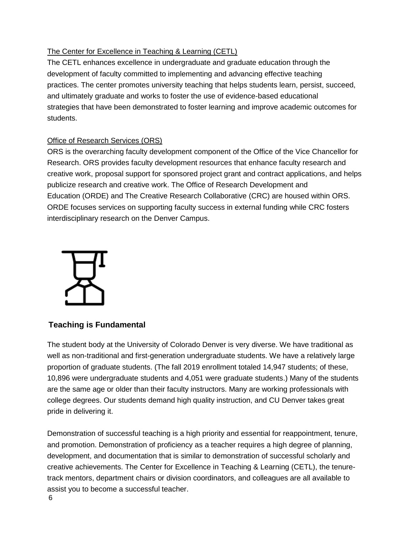#### The Center for Excellence in Teaching & Learning (CETL)

The CETL enhances excellence in undergraduate and graduate education through the development of faculty committed to implementing and advancing effective teaching practices. The center promotes university teaching that helps students learn, persist, succeed, and ultimately graduate and works to foster the use of evidence-based educational strategies that have been demonstrated to foster learning and improve academic outcomes for students.

#### Office of Research Services (ORS)

ORS is the overarching faculty development component of the Office of the Vice Chancellor for Research. ORS provides faculty development resources that enhance faculty research and creative work, proposal support for sponsored project grant and contract applications, and helps publicize research and creative work. The Office of Research Development and Education (ORDE) and The Creative Research Collaborative (CRC) are housed within ORS. ORDE focuses services on supporting faculty success in external funding while CRC fosters interdisciplinary research on the Denver Campus.



#### **Teaching is Fundamental**

The student body at the University of Colorado Denver is very diverse. We have traditional as well as non-traditional and first-generation undergraduate students. We have a relatively large proportion of graduate students. (The fall 2019 enrollment totaled 14,947 students; of these, 10,896 were undergraduate students and 4,051 were graduate students.) Many of the students are the same age or older than their faculty instructors. Many are working professionals with college degrees. Our students demand high quality instruction, and CU Denver takes great pride in delivering it.

Demonstration of successful teaching is a high priority and essential for reappointment, tenure, and promotion. Demonstration of proficiency as a teacher requires a high degree of planning, development, and documentation that is similar to demonstration of successful scholarly and creative achievements. The Center for Excellence in Teaching & Learning (CETL), the tenuretrack mentors, department chairs or division coordinators, and colleagues are all available to assist you to become a successful teacher.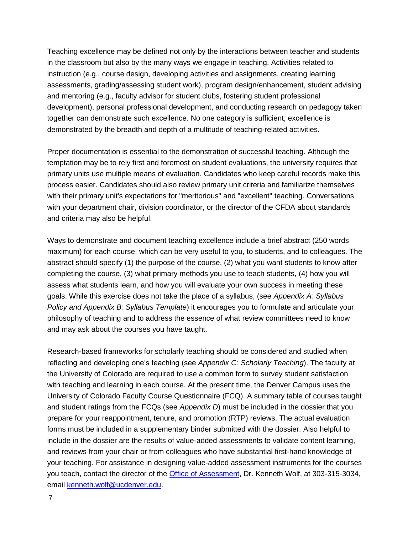Teaching excellence may be defined not only by the interactions between teacher and students in the classroom but also by the many ways we engage in teaching. Activities related to instruction (e.g., course design, developing activities and assignments, creating learning assessments, grading/assessing student work), program design/enhancement, student advising and mentoring (e.g., faculty advisor for student clubs, fostering student professional development), personal professional development, and conducting research on pedagogy taken together can demonstrate such excellence. No one category is sufficient; excellence is demonstrated by the breadth and depth of a multitude of teaching-related activities.

Proper documentation is essential to the demonstration of successful teaching. Although the temptation may be to rely first and foremost on student evaluations, the university requires that primary units use multiple means of evaluation. Candidates who keep careful records make this process easier. Candidates should also review primary unit criteria and familiarize themselves with their primary unit's expectations for "meritorious" and "excellent" teaching. Conversations with your department chair, division coordinator, or the director of the CFDA about standards and criteria may also be helpful.

Ways to demonstrate and document teaching excellence include a brief abstract (250 words maximum) for each course, which can be very useful to you, to students, and to colleagues. The abstract should specify (1) the purpose of the course, (2) what you want students to know after completing the course, (3) what primary methods you use to teach students, (4) how you will assess what students learn, and how you will evaluate your own success in meeting these goals. While this exercise does not take the place of a syllabus, (see *Appendix A: Syllabus Policy and Appendix B: Syllabus Template*) it encourages you to formulate and articulate your philosophy of teaching and to address the essence of what review committees need to know and may ask about the courses you have taught.

Research-based frameworks for scholarly teaching should be considered and studied when reflecting and developing one's teaching (see *Appendix C: Scholarly Teaching*). The faculty at the University of Colorado are required to use a common form to survey student satisfaction with teaching and learning in each course. At the present time, the Denver Campus uses the University of Colorado Faculty Course Questionnaire (FCQ). A summary table of courses taught and student ratings from the FCQs (see *Appendix D*) must be included in the dossier that you prepare for your reappointment, tenure, and promotion (RTP) reviews. The actual evaluation forms must be included in a supplementary binder submitted with the dossier. Also helpful to include in the dossier are the results of value-added assessments to validate content learning, and reviews from your chair or from colleagues who have substantial first-hand knowledge of your teaching. For assistance in designing value-added assessment instruments for the courses you teach, contact the director of the [Office of Assessment,](https://www1.ucdenver.edu/offices/assessmentoffice) Dr. Kenneth Wolf, at 303-315-3034, email [kenneth.wolf@ucdenver.edu.](mailto:Xenia@ucdenver.edu)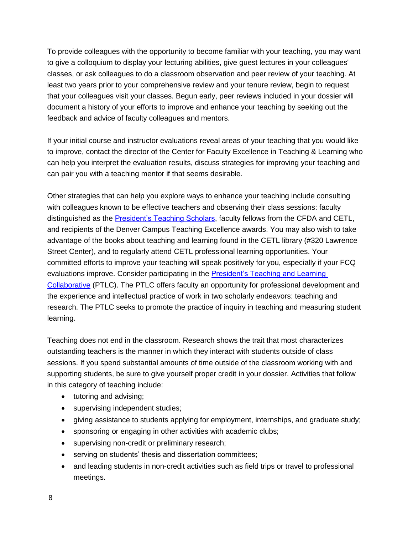To provide colleagues with the opportunity to become familiar with your teaching, you may want to give a colloquium to display your lecturing abilities, give guest lectures in your colleagues' classes, or ask colleagues to do a classroom observation and peer review of your teaching. At least two years prior to your comprehensive review and your tenure review, begin to request that your colleagues visit your classes. Begun early, peer reviews included in your dossier will document a history of your efforts to improve and enhance your teaching by seeking out the feedback and advice of faculty colleagues and mentors.

If your initial course and instructor evaluations reveal areas of your teaching that you would like to improve, contact the director of the Center for Faculty Excellence in Teaching & Learning who can help you interpret the evaluation results, discuss strategies for improving your teaching and can pair you with a teaching mentor if that seems desirable.

Other strategies that can help you explore ways to enhance your teaching include consulting with colleagues known to be effective teachers and observing their class sessions: faculty distinguished as the **President's Teaching Scholars**, faculty fellows from the CFDA and CETL, and recipients of the Denver Campus Teaching Excellence awards. You may also wish to take advantage of the books about teaching and learning found in the CETL library (#320 Lawrence Street Center), and to regularly attend CETL professional learning opportunities. Your committed efforts to improve your teaching will speak positively for you, especially if your FCQ evaluations improve. Consider participating in the [President's Teaching and Learning](https://www.cu.edu/ptsp/ptlc))  [Collaborative](https://www.cu.edu/ptsp/ptlc)) (PTLC). The PTLC offers faculty an opportunity for professional development and the experience and intellectual practice of work in two scholarly endeavors: teaching and research. The PTLC seeks to promote the practice of inquiry in teaching and measuring student learning.

Teaching does not end in the classroom. Research shows the trait that most characterizes outstanding teachers is the manner in which they interact with students outside of class sessions. If you spend substantial amounts of time outside of the classroom working with and supporting students, be sure to give yourself proper credit in your dossier. Activities that follow in this category of teaching include:

- tutoring and advising;
- supervising independent studies;
- giving assistance to students applying for employment, internships, and graduate study;
- sponsoring or engaging in other activities with academic clubs;
- supervising non-credit or preliminary research;
- serving on students' thesis and dissertation committees;
- and leading students in non-credit activities such as field trips or travel to professional meetings.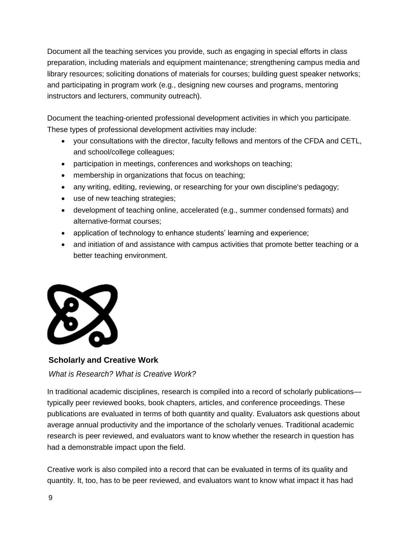Document all the teaching services you provide, such as engaging in special efforts in class preparation, including materials and equipment maintenance; strengthening campus media and library resources; soliciting donations of materials for courses; building guest speaker networks; and participating in program work (e.g., designing new courses and programs, mentoring instructors and lecturers, community outreach).

Document the teaching-oriented professional development activities in which you participate. These types of professional development activities may include:

- your consultations with the director, faculty fellows and mentors of the CFDA and CETL, and school/college colleagues;
- participation in meetings, conferences and workshops on teaching;
- membership in organizations that focus on teaching;
- any writing, editing, reviewing, or researching for your own discipline's pedagogy;
- use of new teaching strategies;
- development of teaching online, accelerated (e.g., summer condensed formats) and alternative-format courses;
- application of technology to enhance students' learning and experience;
- and initiation of and assistance with campus activities that promote better teaching or a better teaching environment.



#### <span id="page-8-0"></span>**Scholarly and Creative Work**

<span id="page-8-1"></span>*What is Research? What is Creative Work?* 

In traditional academic disciplines, research is compiled into a record of scholarly publications typically peer reviewed books, book chapters, articles, and conference proceedings. These publications are evaluated in terms of both quantity and quality. Evaluators ask questions about average annual productivity and the importance of the scholarly venues. Traditional academic research is peer reviewed, and evaluators want to know whether the research in question has had a demonstrable impact upon the field.

Creative work is also compiled into a record that can be evaluated in terms of its quality and quantity. It, too, has to be peer reviewed, and evaluators want to know what impact it has had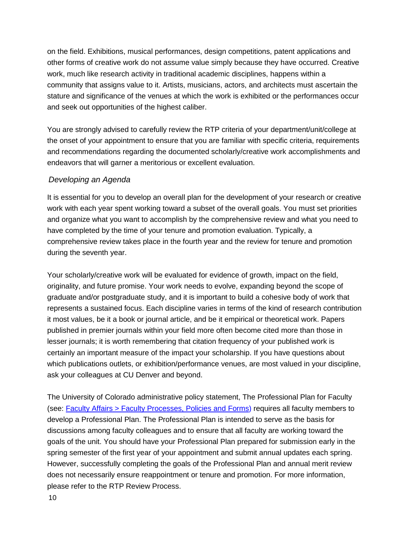on the field. Exhibitions, musical performances, design competitions, patent applications and other forms of creative work do not assume value simply because they have occurred. Creative work, much like research activity in traditional academic disciplines, happens within a community that assigns value to it. Artists, musicians, actors, and architects must ascertain the stature and significance of the venues at which the work is exhibited or the performances occur and seek out opportunities of the highest caliber.

You are strongly advised to carefully review the RTP criteria of your department/unit/college at the onset of your appointment to ensure that you are familiar with specific criteria, requirements and recommendations regarding the documented scholarly/creative work accomplishments and endeavors that will garner a meritorious or excellent evaluation.

#### <span id="page-9-0"></span>*Developing an Agenda*

It is essential for you to develop an overall plan for the development of your research or creative work with each year spent working toward a subset of the overall goals. You must set priorities and organize what you want to accomplish by the comprehensive review and what you need to have completed by the time of your tenure and promotion evaluation. Typically, a comprehensive review takes place in the fourth year and the review for tenure and promotion during the seventh year.

Your scholarly/creative work will be evaluated for evidence of growth, impact on the field, originality, and future promise. Your work needs to evolve, expanding beyond the scope of graduate and/or postgraduate study, and it is important to build a cohesive body of work that represents a sustained focus. Each discipline varies in terms of the kind of research contribution it most values, be it a book or journal article, and be it empirical or theoretical work. Papers published in premier journals within your field more often become cited more than those in lesser journals; it is worth remembering that citation frequency of your published work is certainly an important measure of the impact your scholarship. If you have questions about which publications outlets, or exhibition/performance venues, are most valued in your discipline, ask your colleagues at CU Denver and beyond.

The University of Colorado administrative policy statement, The Professional Plan for Faculty (see: [Faculty Affairs > Faculty Processes, Policies and Forms\)](https://www1.ucdenver.edu/offices/faculty-affairs/processes-policies-forms) requires all faculty members to develop a Professional Plan. The Professional Plan is intended to serve as the basis for discussions among faculty colleagues and to ensure that all faculty are working toward the goals of the unit. You should have your Professional Plan prepared for submission early in the spring semester of the first year of your appointment and submit annual updates each spring. However, successfully completing the goals of the Professional Plan and annual merit review does not necessarily ensure reappointment or tenure and promotion. For more information, please refer to the RTP Review Process.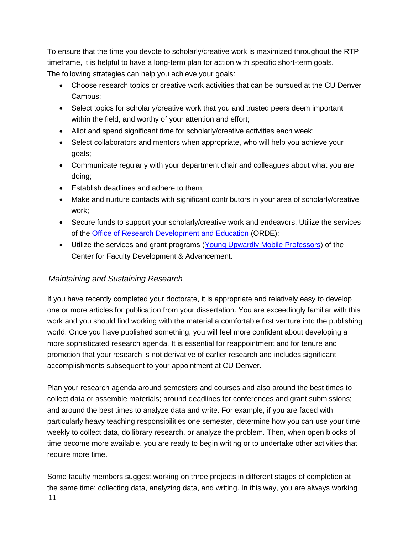To ensure that the time you devote to scholarly/creative work is maximized throughout the RTP timeframe, it is helpful to have a long-term plan for action with specific short-term goals. The following strategies can help you achieve your goals:

- Choose research topics or creative work activities that can be pursued at the CU Denver Campus;
- Select topics for scholarly/creative work that you and trusted peers deem important within the field, and worthy of your attention and effort;
- Allot and spend significant time for scholarly/creative activities each week;
- Select collaborators and mentors when appropriate, who will help you achieve your goals;
- Communicate regularly with your department chair and colleagues about what you are doing;
- Establish deadlines and adhere to them;
- Make and nurture contacts with significant contributors in your area of scholarly/creative work;
- Secure funds to support your scholarly/creative work and endeavors. Utilize the services of the [Office of Research Development and Education](https://research.ucdenver.edu/research-development-and-education) (ORDE);
- Utilize the services and grant programs [\(Young Upwardly Mobile Professors\)](https://www.ucdenver.edu/faculty_staff/faculty/center-for-faculty-development/grants/Pages/default.aspx) of the Center for Faculty Development & Advancement.

#### <span id="page-10-0"></span>*Maintaining and Sustaining Research*

If you have recently completed your doctorate, it is appropriate and relatively easy to develop one or more articles for publication from your dissertation. You are exceedingly familiar with this work and you should find working with the material a comfortable first venture into the publishing world. Once you have published something, you will feel more confident about developing a more sophisticated research agenda. It is essential for reappointment and for tenure and promotion that your research is not derivative of earlier research and includes significant accomplishments subsequent to your appointment at CU Denver.

Plan your research agenda around semesters and courses and also around the best times to collect data or assemble materials; around deadlines for conferences and grant submissions; and around the best times to analyze data and write. For example, if you are faced with particularly heavy teaching responsibilities one semester, determine how you can use your time weekly to collect data, do library research, or analyze the problem. Then, when open blocks of time become more available, you are ready to begin writing or to undertake other activities that require more time.

11 Some faculty members suggest working on three projects in different stages of completion at the same time: collecting data, analyzing data, and writing. In this way, you are always working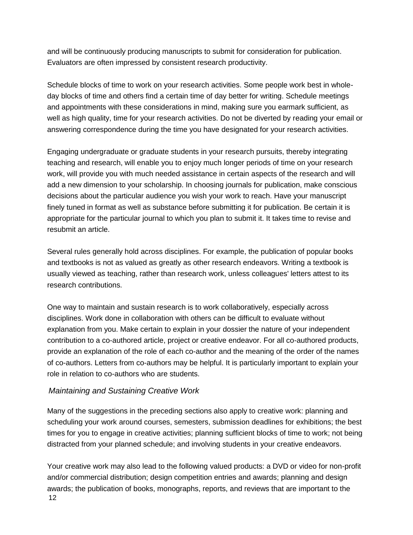and will be continuously producing manuscripts to submit for consideration for publication. Evaluators are often impressed by consistent research productivity.

Schedule blocks of time to work on your research activities. Some people work best in wholeday blocks of time and others find a certain time of day better for writing. Schedule meetings and appointments with these considerations in mind, making sure you earmark sufficient, as well as high quality, time for your research activities. Do not be diverted by reading your email or answering correspondence during the time you have designated for your research activities.

Engaging undergraduate or graduate students in your research pursuits, thereby integrating teaching and research, will enable you to enjoy much longer periods of time on your research work, will provide you with much needed assistance in certain aspects of the research and will add a new dimension to your scholarship. In choosing journals for publication, make conscious decisions about the particular audience you wish your work to reach. Have your manuscript finely tuned in format as well as substance before submitting it for publication. Be certain it is appropriate for the particular journal to which you plan to submit it. It takes time to revise and resubmit an article.

Several rules generally hold across disciplines. For example, the publication of popular books and textbooks is not as valued as greatly as other research endeavors. Writing a textbook is usually viewed as teaching, rather than research work, unless colleagues' letters attest to its research contributions.

One way to maintain and sustain research is to work collaboratively, especially across disciplines. Work done in collaboration with others can be difficult to evaluate without explanation from you. Make certain to explain in your dossier the nature of your independent contribution to a co-authored article, project or creative endeavor. For all co-authored products, provide an explanation of the role of each co-author and the meaning of the order of the names of co-authors. Letters from co-authors may be helpful. It is particularly important to explain your role in relation to co-authors who are students.

#### <span id="page-11-0"></span>*Maintaining and Sustaining Creative Work*

Many of the suggestions in the preceding sections also apply to creative work: planning and scheduling your work around courses, semesters, submission deadlines for exhibitions; the best times for you to engage in creative activities; planning sufficient blocks of time to work; not being distracted from your planned schedule; and involving students in your creative endeavors.

12 Your creative work may also lead to the following valued products: a DVD or video for non-profit and/or commercial distribution; design competition entries and awards; planning and design awards; the publication of books, monographs, reports, and reviews that are important to the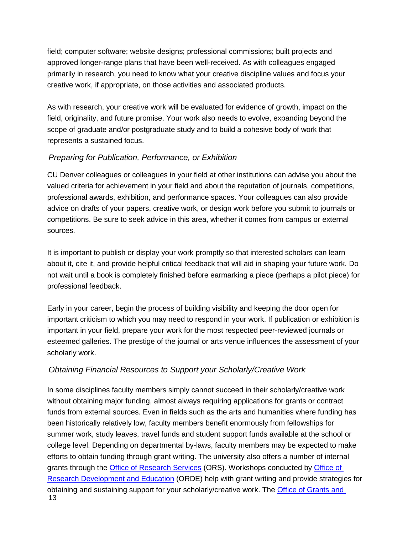field; computer software; website designs; professional commissions; built projects and approved longer-range plans that have been well-received. As with colleagues engaged primarily in research, you need to know what your creative discipline values and focus your creative work, if appropriate, on those activities and associated products.

As with research, your creative work will be evaluated for evidence of growth, impact on the field, originality, and future promise. Your work also needs to evolve, expanding beyond the scope of graduate and/or postgraduate study and to build a cohesive body of work that represents a sustained focus.

#### <span id="page-12-0"></span>*Preparing for Publication, Performance, or Exhibition*

CU Denver colleagues or colleagues in your field at other institutions can advise you about the valued criteria for achievement in your field and about the reputation of journals, competitions, professional awards, exhibition, and performance spaces. Your colleagues can also provide advice on drafts of your papers, creative work, or design work before you submit to journals or competitions. Be sure to seek advice in this area, whether it comes from campus or external sources.

It is important to publish or display your work promptly so that interested scholars can learn about it, cite it, and provide helpful critical feedback that will aid in shaping your future work. Do not wait until a book is completely finished before earmarking a piece (perhaps a pilot piece) for professional feedback.

Early in your career, begin the process of building visibility and keeping the door open for important criticism to which you may need to respond in your work. If publication or exhibition is important in your field, prepare your work for the most respected peer-reviewed journals or esteemed galleries. The prestige of the journal or arts venue influences the assessment of your scholarly work.

#### <span id="page-12-1"></span>*Obtaining Financial Resources to Support your Scholarly/Creative Work*

13 In some disciplines faculty members simply cannot succeed in their scholarly/creative work without obtaining major funding, almost always requiring applications for grants or contract funds from external sources. Even in fields such as the arts and humanities where funding has been historically relatively low, faculty members benefit enormously from fellowships for summer work, study leaves, travel funds and student support funds available at the school or college level. Depending on departmental by-laws, faculty members may be expected to make efforts to obtain funding through grant writing. The university also offers a number of internal grants through the **Office of Research Services** (ORS). Workshops conducted by **Office of** [Research Development and Education](https://research.ucdenver.edu/research-development-and-education) (ORDE) help with grant writing and provide strategies for obtaining and sustaining support for your scholarly/creative work. The [Office of Grants and](https://research.cuanschutz.edu/ogc)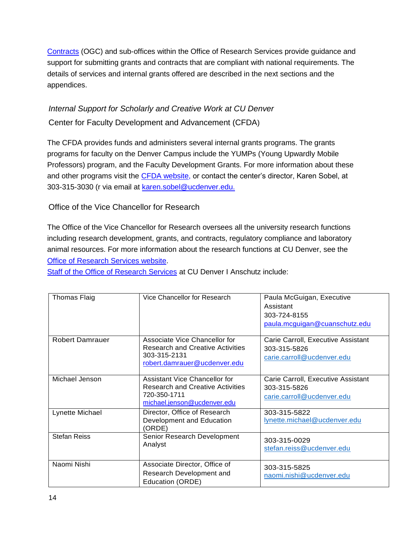[Contracts](https://research.cuanschutz.edu/ogc) (OGC) and sub-offices within the Office of Research Services provide guidance and support for submitting grants and contracts that are compliant with national requirements. The details of services and internal grants offered are described in the next sections and the appendices.

#### <span id="page-13-0"></span>*Internal Support for Scholarly and Creative Work at CU Denver*

<span id="page-13-1"></span>Center for Faculty Development and Advancement (CFDA)

The CFDA provides funds and administers several internal grants programs. The grants programs for faculty on the Denver Campus include the YUMPs (Young Upwardly Mobile Professors) program, and the Faculty Development Grants. For more information about these and other programs visit the [CFDA](http://www.ucdenver.edu/faculty_staff/faculty/center-for-faculty-development/Pages/default.aspx) [website, o](http://www.ucdenver.edu/faculty_staff/faculty/center-for-faculty-development/Pages/default.aspx)r contact the center's director, Karen Sobel, at 303-315-3030 (r via email at [karen.sobel@ucdenver.edu.](mailto:margaret.c.wood@ucdenver.edu)

<span id="page-13-2"></span>Office of the Vice Chancellor for Research

The Office of the Vice Chancellor for Research oversees all the university research functions including research development, grants, and contracts, regulatory compliance and laboratory animal resources. For more information about the research functions at CU Denver, see the [Office of Research Services website.](https://research.ucdenver.edu/research-services)

[Staff of the Office of Research Services](https://research.ucdenver.edu/research-services/home/staff-bios) at CU Denver I Anschutz include:

| Thomas Flaig           | Vice Chancellor for Research                                                                                             | Paula McGuigan, Executive<br>Assistant<br>303-724-8155<br>paula.mcguigan@cuanschutz.edu |
|------------------------|--------------------------------------------------------------------------------------------------------------------------|-----------------------------------------------------------------------------------------|
| <b>Robert Damrauer</b> | Associate Vice Chancellor for<br><b>Research and Creative Activities</b><br>303-315-2131<br>robert.damrauer@ucdenver.edu | Carie Carroll, Executive Assistant<br>303-315-5826<br>carie.carroll@ucdenver.edu        |
| Michael Jenson         | Assistant Vice Chancellor for<br><b>Research and Creative Activities</b><br>720-350-1711<br>michael.jenson@ucdenver.edu  | Carie Carroll, Executive Assistant<br>303-315-5826<br>carie.carroll@ucdenver.edu        |
| Lynette Michael        | Director, Office of Research<br>Development and Education<br>(ORDE)                                                      | 303-315-5822<br>lynette.michael@ucdenver.edu                                            |
| <b>Stefan Reiss</b>    | Senior Research Development<br>Analyst                                                                                   | 303-315-0029<br>stefan.reiss@ucdenver.edu                                               |
| Naomi Nishi            | Associate Director, Office of<br>Research Development and<br>Education (ORDE)                                            | 303-315-5825<br>naomi.nishi@ucdenver.edu                                                |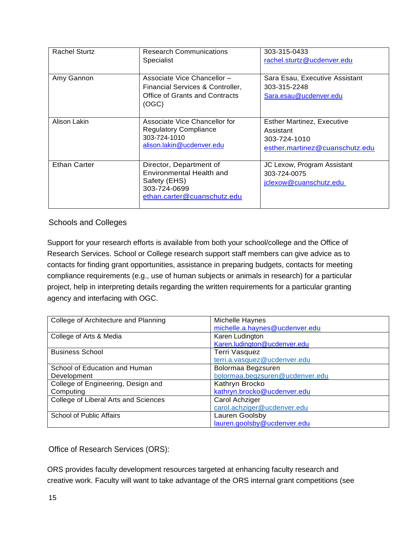| <b>Rachel Sturtz</b> | <b>Research Communications</b><br>Specialist                                                                       | 303-315-0433<br>rachel.sturtz@ucdenver.edu                                                       |
|----------------------|--------------------------------------------------------------------------------------------------------------------|--------------------------------------------------------------------------------------------------|
| Amy Gannon           | Associate Vice Chancellor -<br>Financial Services & Controller,<br>Office of Grants and Contracts<br>(OGC)         | Sara Esau, Executive Assistant<br>303-315-2248<br>Sara.esau@ucdenver.edu                         |
| Alison Lakin         | Associate Vice Chancellor for<br><b>Regulatory Compliance</b><br>303-724-1010<br>alison.lakin@ucdenver.edu         | <b>Esther Martinez, Executive</b><br>Assistant<br>303-724-1010<br>esther.martinez@cuanschutz.edu |
| <b>Ethan Carter</b>  | Director, Department of<br>Environmental Health and<br>Safety (EHS)<br>303-724-0699<br>ethan.carter@cuanschutz.edu | JC Lexow, Program Assistant<br>303-724-0075<br>jclexow@cuanschutz.edu                            |

#### <span id="page-14-0"></span>Schools and Colleges

Support for your research efforts is available from both your school/college and the Office of Research Services. School or College research support staff members can give advice as to contacts for finding grant opportunities, assistance in preparing budgets, contacts for meeting compliance requirements (e.g., use of human subjects or animals in research) for a particular project, help in interpreting details regarding the written requirements for a particular granting agency and interfacing with OGC.

| College of Architecture and Planning | Michelle Haynes                 |
|--------------------------------------|---------------------------------|
|                                      | michelle.a.haynes@ucdenver.edu  |
| College of Arts & Media              | Karen Ludington                 |
|                                      | Karen.ludington@ucdenver.edu    |
| <b>Business School</b>               | Terri Vasquez                   |
|                                      | terri.a.vasquez@ucdenver.edu    |
| School of Education and Human        | Bolormaa Begzsuren              |
| Development                          | bolormaa.begzsuren@ucdenver.edu |
| College of Engineering, Design and   | Kathryn Brocko                  |
| Computing                            | kathryn.brocko@ucdenver.edu     |
| College of Liberal Arts and Sciences | Carol Achziger                  |
|                                      | carol.achziger@ucdenver.edu     |
| School of Public Affairs             | Lauren Goolsby                  |
|                                      | lauren.goolsby@ucdenver.edu     |

<span id="page-14-1"></span>Office of Research Services (ORS):

ORS provides faculty development resources targeted at enhancing faculty research and creative work. Faculty will want to take advantage of the ORS internal grant competitions (see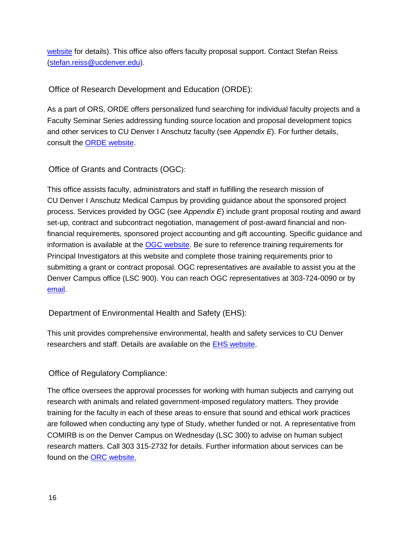[website](https://research.ucdenver.edu/research-services) for details). This office also offers faculty proposal support. Contact Stefan Reiss [\(stefan.reiss@ucdenver.edu\).](mailto:stefan.reiss@ucdenver.edu))

<span id="page-15-0"></span>Office of Research Development and Education (ORDE):

As a part of ORS, ORDE offers personalized fund searching for individual faculty projects and a Faculty Seminar Series addressing funding source location and proposal development topics and other services to CU Denver I Anschutz faculty (see *Appendix E*). For further details, consult the [ORDE website.](https://research.ucdenver.edu/research-development-and-education)

[Office o](http://www.ucdenver.edu/research/ORDE/Pages/default.aspx)f Grants and Contracts (OGC):

<span id="page-15-1"></span>This office assists faculty, administrators and staff in fulfilling the research mission of CU Denver I Anschutz Medical Campus by providing guidance about the sponsored project process. Services provided by OGC (see *Appendix E*) include grant proposal routing and award set-up, contract and subcontract negotiation, management of post-award financial and nonfinancial requirements, sponsored project accounting and gift accounting. Specific guidance and information is available at the [OGC website.](https://www.ucdenver.edu/research/OGC/Pages/default.aspx) Be sure to reference training requirements for Principal Investigators at this website and complete those training requirements prior to submitting a grant or contract proposal. OGC representatives are available to assist you at the Denver Campus office (LSC 900). You can reach OGC representatives at 303-724-0090 or by [email.](mailto:Xenia@ucdenver.edu)

<span id="page-15-2"></span>Department of Environmental Health and Safety (EHS):

This unit provides comprehensive environmental, health and safety services to CU Denver researchers and staff. Details are available on the [EHS website.](https://research.cuanschutz.edu/ehs)

#### <span id="page-15-3"></span>Office of Regulatory Compliance:

The office oversees the approval processes for working with human subjects and carrying out research with animals and related government-imposed regulatory matters. They provide training for the faculty in each of these areas to ensure that sound and ethical work practices are followed when conducting any type of Study, whether funded or not. A representative from COMIRB is on the Denver Campus on Wednesday (LSC 300) to advise on human subject research matters. Call 303 315-2732 for details. Further information about services can be found on the [ORC website.](http://www.ucdenver.edu/research/ORC/Pages/ORC.aspx)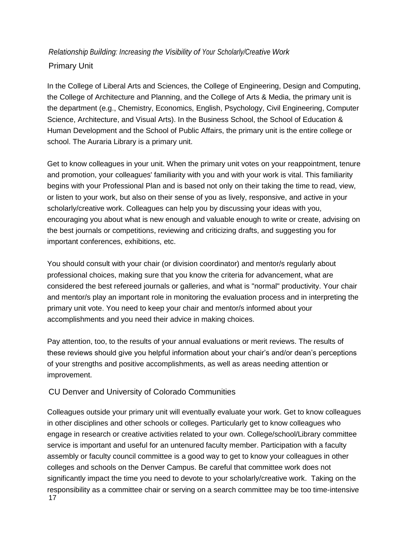#### <span id="page-16-1"></span><span id="page-16-0"></span>*Relationship Building: Increasing the Visibility of Your Scholarly/Creative Work*  Primary Unit

In the College of Liberal Arts and Sciences, the College of Engineering, Design and Computing, the College of Architecture and Planning, and the College of Arts & Media, the primary unit is the department (e.g., Chemistry, Economics, English, Psychology, Civil Engineering, Computer Science, Architecture, and Visual Arts). In the Business School, the School of Education & Human Development and the School of Public Affairs, the primary unit is the entire college or school. The Auraria Library is a primary unit.

Get to know colleagues in your unit. When the primary unit votes on your reappointment, tenure and promotion, your colleagues' familiarity with you and with your work is vital. This familiarity begins with your Professional Plan and is based not only on their taking the time to read, view, or listen to your work, but also on their sense of you as lively, responsive, and active in your scholarly/creative work. Colleagues can help you by discussing your ideas with you, encouraging you about what is new enough and valuable enough to write or create, advising on the best journals or competitions, reviewing and criticizing drafts, and suggesting you for important conferences, exhibitions, etc.

You should consult with your chair (or division coordinator) and mentor/s regularly about professional choices, making sure that you know the criteria for advancement, what are considered the best refereed journals or galleries, and what is "normal" productivity. Your chair and mentor/s play an important role in monitoring the evaluation process and in interpreting the primary unit vote. You need to keep your chair and mentor/s informed about your accomplishments and you need their advice in making choices.

Pay attention, too, to the results of your annual evaluations or merit reviews. The results of these reviews should give you helpful information about your chair's and/or dean's perceptions of your strengths and positive accomplishments, as well as areas needing attention or improvement.

#### CU Denver and University of Colorado Communities

<span id="page-16-2"></span>17 Colleagues outside your primary unit will eventually evaluate your work. Get to know colleagues in other disciplines and other schools or colleges. Particularly get to know colleagues who engage in research or creative activities related to your own. College/school/Library committee service is important and useful for an untenured faculty member. Participation with a faculty assembly or faculty council committee is a good way to get to know your colleagues in other colleges and schools on the Denver Campus. Be careful that committee work does not significantly impact the time you need to devote to your scholarly/creative work. Taking on the responsibility as a committee chair or serving on a search committee may be too time-intensive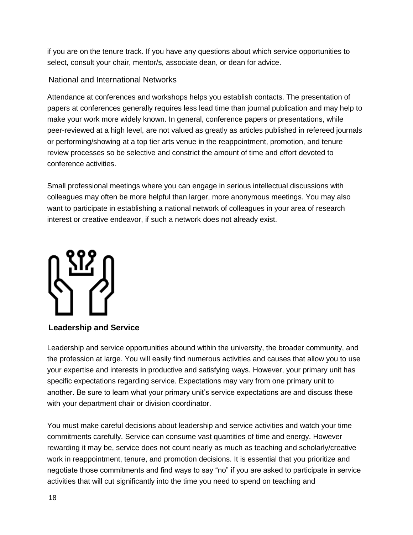if you are on the tenure track. If you have any questions about which service opportunities to select, consult your chair, mentor/s, associate dean, or dean for advice.

#### National and International Networks

<span id="page-17-0"></span>Attendance at conferences and workshops helps you establish contacts. The presentation of papers at conferences generally requires less lead time than journal publication and may help to make your work more widely known. In general, conference papers or presentations, while peer-reviewed at a high level, are not valued as greatly as articles published in refereed journals or performing/showing at a top tier arts venue in the reappointment, promotion, and tenure review processes so be selective and constrict the amount of time and effort devoted to conference activities.

Small professional meetings where you can engage in serious intellectual discussions with colleagues may often be more helpful than larger, more anonymous meetings. You may also want to participate in establishing a national network of colleagues in your area of research interest or creative endeavor, if such a network does not already exist.



#### <span id="page-17-1"></span>**Leadership and Service**

Leadership and service opportunities abound within the university, the broader community, and the profession at large. You will easily find numerous activities and causes that allow you to use your expertise and interests in productive and satisfying ways. However, your primary unit has specific expectations regarding service. Expectations may vary from one primary unit to another. Be sure to learn what your primary unit's service expectations are and discuss these with your department chair or division coordinator.

You must make careful decisions about leadership and service activities and watch your time commitments carefully. Service can consume vast quantities of time and energy. However rewarding it may be, service does not count nearly as much as teaching and scholarly/creative work in reappointment, tenure, and promotion decisions. It is essential that you prioritize and negotiate those commitments and find ways to say "no" if you are asked to participate in service activities that will cut significantly into the time you need to spend on teaching and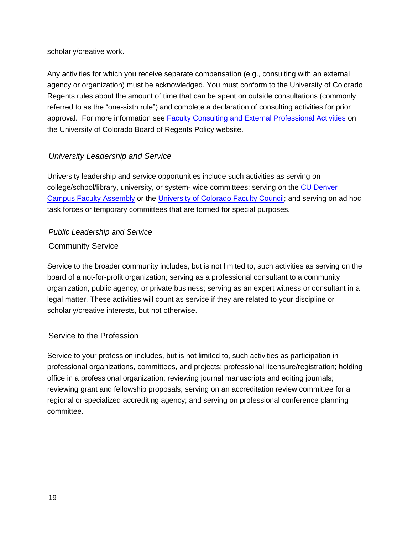scholarly/creative work.

Any activities for which you receive separate compensation (e.g., consulting with an external agency or organization) must be acknowledged. You must conform to the University of Colorado Regents rules about the amount of time that can be spent on outside consultations (commonly referred to as the "one-sixth rule") and complete a declaration of consulting activities for prior approval. For more information see [Faculty Consulting and External Professional Activities](https://www.cu.edu/ope/aps/1044) on the University of Colorado Board of Regents Policy website.

#### *University Leadership [and Service](https://www.cu.edu/regents/regent-policy-0)*

<span id="page-18-0"></span>University leadership and service opportunities include such activities as serving on college/school/library, university, or system- wide committees; serving on the [CU Denver](https://www.ucdenver.edu/faculty_staff/faculty/assembly/Pages/default.aspx)  [Campus Faculty Assembly](https://www.ucdenver.edu/faculty_staff/faculty/assembly/Pages/default.aspx) or the [University of Colorado Faculty Council;](https://www.cu.edu/faculty-council?_ga=2.79730263.1939989626.1598302485-890314139.1530542640) and serving on ad hoc task forces or temporary committees that are formed for special purposes.

#### <span id="page-18-2"></span><span id="page-18-1"></span>*Public Leadership and Service*  Community Service

Service to the broader community includes, but is not limited to, such activities as serving on the board of a not-for-profit organization; serving as a professional consultant to a community organization, public agency, or private business; serving as an expert witness or consultant in a legal matter. These activities will count as service if they are related to your discipline or scholarly/creative interests, but not otherwise.

#### <span id="page-18-3"></span>Service to the Profession

<span id="page-18-4"></span>Service to your profession includes, but is not limited to, such activities as participation in professional organizations, committees, and projects; professional licensure/registration; holding office in a professional organization; reviewing journal manuscripts and editing journals; reviewing grant and fellowship proposals; serving on an accreditation review committee for a regional or specialized accrediting agency; and serving on professional conference planning committee.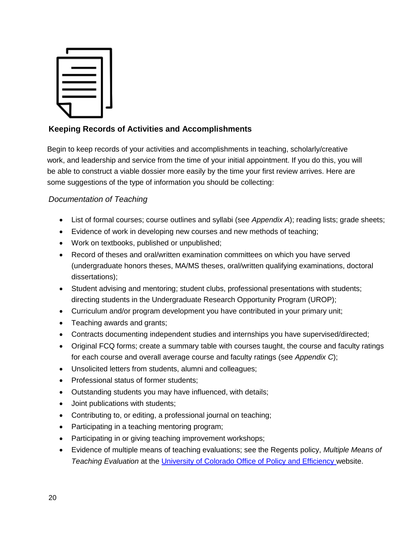

#### **Keeping Records of Activities and Accomplishments**

Begin to keep records of your activities and accomplishments in teaching, scholarly/creative work, and leadership and service from the time of your initial appointment. If you do this, you will be able to construct a viable dossier more easily by the time your first review arrives. Here are some suggestions of the type of information you should be collecting:

#### <span id="page-19-0"></span>*Documentation of Teaching*

- List of formal courses; course outlines and syllabi (see *Appendix A*); reading lists; grade sheets;
- Evidence of work in developing new courses and new methods of teaching;
- Work on textbooks, published or unpublished;
- Record of theses and oral/written examination committees on which you have served (undergraduate honors theses, MA/MS theses, oral/written qualifying examinations, doctoral dissertations);
- Student advising and mentoring; student clubs, professional presentations with students; directing students in the Undergraduate Research Opportunity Program (UROP);
- Curriculum and/or program development you have contributed in your primary unit;
- Teaching awards and grants;
- Contracts documenting independent studies and internships you have supervised/directed;
- Original FCQ forms; create a summary table with courses taught, the course and faculty ratings for each course and overall average course and faculty ratings (see *Appendix C*);
- Unsolicited letters from students, alumni and colleagues;
- Professional status of former students;
- Outstanding students you may have influenced, with details;
- Joint publications with students;
- Contributing to, or editing, a professional journal on teaching;
- Participating in a teaching mentoring program;
- Participating in or giving teaching improvement workshops;
- <span id="page-19-1"></span> Evidence of multiple means of teaching evaluations; see the Regents policy, *Multiple Means of Teaching Evaluation* at the [University of Colorado Office of Policy and Efficiency](https://www.cu.edu/ope/aps/1009) website.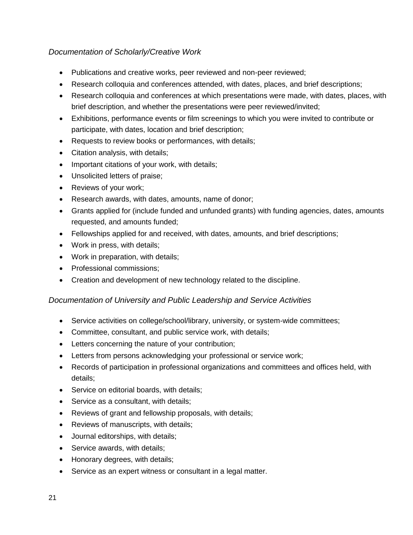#### *Documentation of Scholarly/Creative Work*

- Publications and creative works, peer reviewed and non-peer reviewed;
- Research colloquia and conferences attended, with dates, places, and brief descriptions;
- Research colloquia and conferences at which presentations were made, with dates, places, with brief description, and whether the presentations were peer reviewed/invited;
- Exhibitions, performance events or film screenings to which you were invited to contribute or participate, with dates, location and brief description;
- Requests to review books or performances, with details;
- Citation analysis, with details;
- Important citations of your work, with details;
- Unsolicited letters of praise;
- Reviews of your work;
- Research awards, with dates, amounts, name of donor;
- Grants applied for (include funded and unfunded grants) with funding agencies, dates, amounts requested, and amounts funded;
- Fellowships applied for and received, with dates, amounts, and brief descriptions;
- Work in press, with details;
- Work in preparation, with details;
- Professional commissions:
- Creation and development of new technology related to the discipline.

#### <span id="page-20-0"></span>*Documentation of University and Public Leadership and Service Activities*

- Service activities on college/school/library, university, or system-wide committees;
- Committee, consultant, and public service work, with details;
- Letters concerning the nature of your contribution;
- Letters from persons acknowledging your professional or service work;
- Records of participation in professional organizations and committees and offices held, with details;
- Service on editorial boards, with details;
- Service as a consultant, with details;
- Reviews of grant and fellowship proposals, with details;
- Reviews of manuscripts, with details;
- Journal editorships, with details;
- Service awards, with details;
- Honorary degrees, with details;
- <span id="page-20-1"></span>Service as an expert witness or consultant in a legal matter.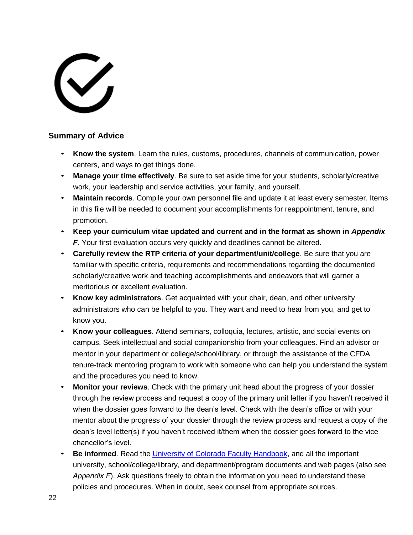# $\checkmark$

#### **Summary of Advice**

- **Know the system**. Learn the rules, customs, procedures, channels of communication, power centers, and ways to get things done.
- **Manage your time effectively**. Be sure to set aside time for your students, scholarly/creative work, your leadership and service activities, your family, and yourself.
- **Maintain records**. Compile your own personnel file and update it at least every semester. Items in this file will be needed to document your accomplishments for reappointment, tenure, and promotion.
- **Keep your curriculum vitae updated and current and in the format as shown in** *Appendix*  **F.** Your first evaluation occurs very quickly and deadlines cannot be altered.
- **Carefully review the RTP criteria of your department/unit/college**. Be sure that you are familiar with specific criteria, requirements and recommendations regarding the documented scholarly/creative work and teaching accomplishments and endeavors that will garner a meritorious or excellent evaluation.
- **Know key administrators**. Get acquainted with your chair, dean, and other university administrators who can be helpful to you. They want and need to hear from you, and get to know you.
- **Know your colleagues**. Attend seminars, colloquia, lectures, artistic, and social events on campus. Seek intellectual and social companionship from your colleagues. Find an advisor or mentor in your department or college/school/library, or through the assistance of the CFDA tenure-track mentoring program to work with someone who can help you understand the system and the procedures you need to know.
- **Monitor your reviews**. Check with the primary unit head about the progress of your dossier through the review process and request a copy of the primary unit letter if you haven't received it when the dossier goes forward to the dean's level. Check with the dean's office or with your mentor about the progress of your dossier through the review process and request a copy of the dean's level letter(s) if you haven't received it/them when the dossier goes forward to the vice chancellor's level.
- **Be informed**. Read the [University of Colorado Faculty Handbook,](https://www.cu.edu/faculty-council/faculty-handbook) and all the important university, school/college/library, and department/program documents and web pages (also see *Appendix F*). Ask questions freely to obtain the information you need to understand these policies and procedures. When in doubt, seek counsel from appropriate sources.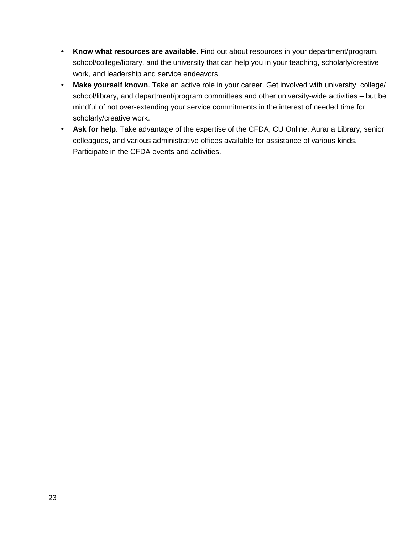- **Know what resources are available**. Find out about resources in your department/program, school/college/library, and the university that can help you in your teaching, scholarly/creative work, and leadership and service endeavors.
- **Make yourself known**. Take an active role in your career. Get involved with university, college/ school/library, and department/program committees and other university-wide activities – but be mindful of not over-extending your service commitments in the interest of needed time for scholarly/creative work.
- **Ask for help**. Take advantage of the expertise of the CFDA, CU Online, Auraria Library, senior colleagues, and various administrative offices available for assistance of various kinds. Participate in the CFDA events and activities.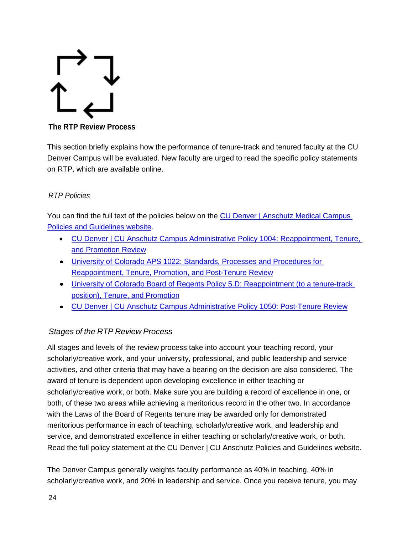<span id="page-23-0"></span>

**The RTP Review Process**

This section briefly explains how the performance of tenure-track and tenured faculty at the CU Denver Campus will be evaluated. New faculty are urged to read the specific policy statements on RTP, which are available online.

#### <span id="page-23-1"></span>*RTP Policies*

You can find the full text of the policies below on the CU Denver [| Anschutz Medical Campus](https://www.ucdenver.edu/faculty_staff/employees/policies/Pages/default.aspx)  [Policies and Guidelines website.](https://www.ucdenver.edu/faculty_staff/employees/policies/Pages/default.aspx)

- CU Denver | [CU Anschutz Campus Administrative Policy 1004: Reappointment, Tenure,](https://www.ucdenver.edu/faculty_staff/employees/policies/Policies%20Library/1XXX%20Academic%20and%20Faculty%20Affairs/1004%20-%20Reappointment,%20Tenure,%20and%20Promotion%20Review.pdf)  [and Promotion Review](https://www.ucdenver.edu/faculty_staff/employees/policies/Policies%20Library/1XXX%20Academic%20and%20Faculty%20Affairs/1004%20-%20Reappointment,%20Tenure,%20and%20Promotion%20Review.pdf)
- [University of Colorado APS 1022: Standards, Processes and Procedures for](https://www.cu.edu/ope/aps/1022)  [Reappointment, Tenure, Promotion, and Post-Tenure Review](https://www.cu.edu/ope/aps/1022)
- [University of Colorado Board of Regents Policy 5.D: Reappointment \(to a tenure-track](https://www.cu.edu/regents/policy/5)  [position\), Tenure, and Promotion](https://www.cu.edu/regents/policy/5)
- <span id="page-23-2"></span>CU Denver | [CU Anschutz Campus Administrative Policy 1050: Post-Tenure Review](https://www.ucdenver.edu/faculty_staff/employees/policies/Policies%20Library/1XXX%20Academic%20and%20Faculty%20Affairs/1050%20-%20Post%20Tenure%20Review.pdf)

#### *Stages of the RTP Review Process*

All stages and levels of the review process take into account your teaching record, your scholarly/creative work, and your university, professional, and public leadership and service activities, and other criteria that may have a bearing on the decision are also considered. The award of tenure is dependent upon developing excellence in either teaching or scholarly/creative work, or both. Make sure you are building a record of excellence in one, or both, of these two areas while achieving a meritorious record in the other two. In accordance with the Laws of the Board of Regents tenure may be awarded only for demonstrated meritorious performance in each of teaching, scholarly/creative work, and leadership and service, and demonstrated excellence in either teaching or scholarly/creative work, or both. Read the full policy statement at the CU Denver | CU Anschutz Policies and Guidelines website.

The Denver Campus generally weights faculty performance as 40% in teaching, 40% in scholarly/creative work, and 20% in leadership and service. Once you receive tenure, you may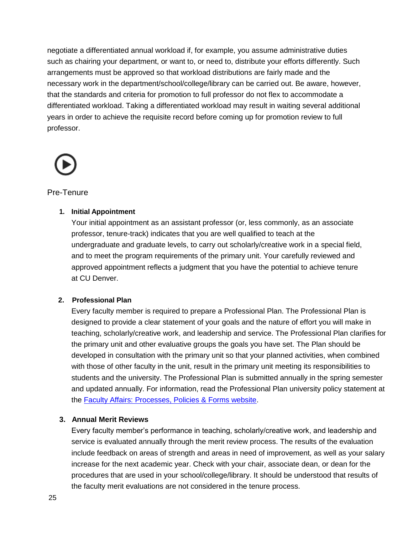negotiate a differentiated annual workload if, for example, you assume administrative duties such as chairing your department, or want to, or need to, distribute your efforts differently. Such arrangements must be approved so that workload distributions are fairly made and the necessary work in the department/school/college/library can be carried out. Be aware, however, that the standards and criteria for promotion to full professor do not flex to accommodate a differentiated workload. Taking a differentiated workload may result in waiting several additional years in order to achieve the requisite record before coming up for promotion review to full professor.



#### <span id="page-24-0"></span>Pre-Tenure

#### **1. Initial Appointment**

Your initial appointment as an assistant professor (or, less commonly, as an associate professor, tenure-track) indicates that you are well qualified to teach at the undergraduate and graduate levels, to carry out scholarly/creative work in a special field, and to meet the program requirements of the primary unit. Your carefully reviewed and approved appointment reflects a judgment that you have the potential to achieve tenure at CU Denver.

#### **2. Professional Plan**

Every faculty member is required to prepare a Professional Plan. The Professional Plan is designed to provide a clear statement of your goals and the nature of effort you will make in teaching, scholarly/creative work, and leadership and service. The Professional Plan clarifies for the primary unit and other evaluative groups the goals you have set. The Plan should be developed in consultation with the primary unit so that your planned activities, when combined with those of other faculty in the unit, result in the primary unit meeting its responsibilities to students and the university. The Professional Plan is submitted annually in the spring semester and updated annually. For information, read the Professional Plan university policy statement at the [Faculty Affairs: Processes, Policies & Forms website.](https://www1.ucdenver.edu/offices/faculty-affairs/processes-policies-forms)

#### **3. Annual Merit Reviews**

Every faculty member's performance in teaching, scholarly/creative work, and leadership and service is evaluated annually through the merit review process. The results of the evaluation include feedback on areas of strength and areas in need of improvement, as well as your salary increase for the next academic year. Check with your chair, associate dean, or dean for the procedures that are used in your school/college/library. It should be understood that results of the faculty merit evaluations are not considered in the tenure process.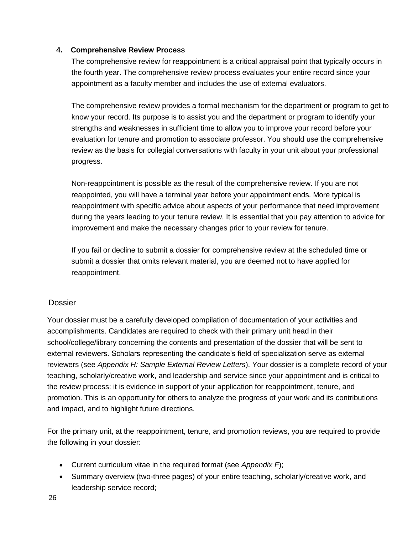#### <span id="page-25-0"></span>**4. Comprehensive Review Process**

The comprehensive review for reappointment is a critical appraisal point that typically occurs in the fourth year. The comprehensive review process evaluates your entire record since your appointment as a faculty member and includes the use of external evaluators.

The comprehensive review provides a formal mechanism for the department or program to get to know your record. Its purpose is to assist you and the department or program to identify your strengths and weaknesses in sufficient time to allow you to improve your record before your evaluation for tenure and promotion to associate professor. You should use the comprehensive review as the basis for collegial conversations with faculty in your unit about your professional progress.

Non-reappointment is possible as the result of the comprehensive review. If you are not reappointed, you will have a terminal year before your appointment ends. More typical is reappointment with specific advice about aspects of your performance that need improvement during the years leading to your tenure review. It is essential that you pay attention to advice for improvement and make the necessary changes prior to your review for tenure.

If you fail or decline to submit a dossier for comprehensive review at the scheduled time or submit a dossier that omits relevant material, you are deemed not to have applied for reappointment.

#### Dossier

Your dossier must be a carefully developed compilation of documentation of your activities and accomplishments. Candidates are required to check with their primary unit head in their school/college/library concerning the contents and presentation of the dossier that will be sent to external reviewers. Scholars representing the candidate's field of specialization serve as external reviewers (see *Appendix H: Sample External Review Letters*). Your dossier is a complete record of your teaching, scholarly/creative work, and leadership and service since your appointment and is critical to the review process: it is evidence in support of your application for reappointment, tenure, and promotion. This is an opportunity for others to analyze the progress of your work and its contributions and impact, and to highlight future directions.

For the primary unit, at the reappointment, tenure, and promotion reviews, you are required to provide the following in your dossier:

- Current curriculum vitae in the required format (see *Appendix F*);
- Summary overview (two-three pages) of your entire teaching, scholarly/creative work, and leadership service record;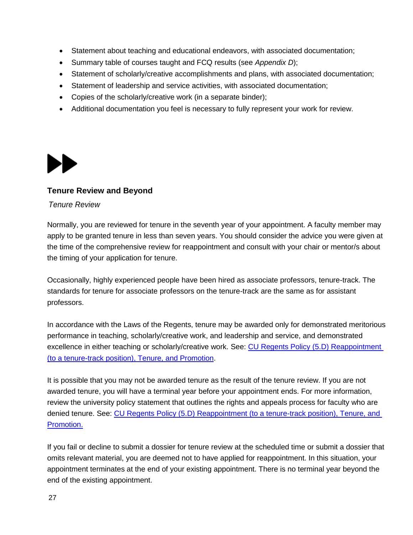- Statement about teaching and educational endeavors, with associated documentation;
- Summary table of courses taught and FCQ results (see *Appendix D*);
- Statement of scholarly/creative accomplishments and plans, with associated documentation;
- Statement of leadership and service activities, with associated documentation;
- Copies of the scholarly/creative work (in a separate binder);
- Additional documentation you feel is necessary to fully represent your work for review.

<span id="page-26-0"></span>

#### **Tenure Review and Beyond**

#### *Tenure Review*

Normally, you are reviewed for tenure in the seventh year of your appointment. A faculty member may apply to be granted tenure in less than seven years. You should consider the advice you were given at the time of the comprehensive review for reappointment and consult with your chair or mentor/s about the timing of your application for tenure.

Occasionally, highly experienced people have been hired as associate professors, tenure-track. The standards for tenure for associate professors on the tenure-track are the same as for assistant professors.

In accordance with the Laws of the Regents, tenure may be awarded only for demonstrated meritorious performance in teaching, scholarly/creative work, and leadership and service, and demonstrated excellence in either teaching or scholarly/creative work. See: [CU Regents Policy \(5.D\) Reappointment](https://www.cu.edu/regents/policy/5)  [\(to a tenure-track position\), Tenure, and Promotion.](https://www.cu.edu/regents/policy/5)

It is possible that you may not be awarded tenure as the result of the tenure review. If you are not awarded tenure, you will have a terminal year before your appointment ends. For more information, review the university policy statement that outlines the rights and appeals process for faculty who are denied tenure. See: [CU Regents Policy \(5.D\) Reappointment \(to a tenure-track position\), Tenure, and](https://www.cu.edu/regents/5m-reappointment-tenure-track-position-tenure-and-promotion)  [Promotion.](https://www.cu.edu/regents/5m-reappointment-tenure-track-position-tenure-and-promotion)

If you fail or decline to submit a dossier for tenure review at the scheduled time or submit a dossier that omits relevant material, you are deemed not to have applied for reappointment. In this situation, your appointment terminates at the end of your existing appointment. There is no terminal year beyond the end of the existing appointment.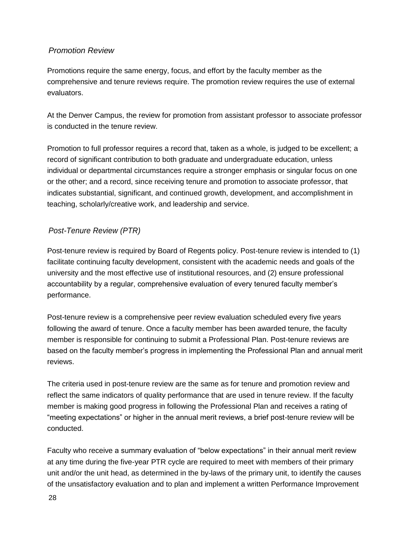#### *Promotion Review*

Promotions require the same energy, focus, and effort by the faculty member as the comprehensive and tenure reviews require. The promotion review requires the use of external evaluators.

At the Denver Campus, the review for promotion from assistant professor to associate professor is conducted in the tenure review.

Promotion to full professor requires a record that, taken as a whole, is judged to be excellent; a record of significant contribution to both graduate and undergraduate education, unless individual or departmental circumstances require a stronger emphasis or singular focus on one or the other; and a record, since receiving tenure and promotion to associate professor, that indicates substantial, significant, and continued growth, development, and accomplishment in teaching, scholarly/creative work, and leadership and service.

#### *Post-Tenure Review (PTR)*

Post-tenure review is required by Board of Regents policy. Post-tenure review is intended to (1) facilitate continuing faculty development, consistent with the academic needs and goals of the university and the most effective use of institutional resources, and (2) ensure professional accountability by a regular, comprehensive evaluation of every tenured faculty member's performance.

Post-tenure review is a comprehensive peer review evaluation scheduled every five years following the award of tenure. Once a faculty member has been awarded tenure, the faculty member is responsible for continuing to submit a Professional Plan. Post-tenure reviews are based on the faculty member's progress in implementing the Professional Plan and annual merit reviews.

The criteria used in post-tenure review are the same as for tenure and promotion review and reflect the same indicators of quality performance that are used in tenure review. If the faculty member is making good progress in following the Professional Plan and receives a rating of "meeting expectations" or higher in the annual merit reviews, a brief post-tenure review will be conducted.

Faculty who receive a summary evaluation of "below expectations" in their annual merit review at any time during the five-year PTR cycle are required to meet with members of their primary unit and/or the unit head, as determined in the by-laws of the primary unit, to identify the causes of the unsatisfactory evaluation and to plan and implement a written Performance Improvement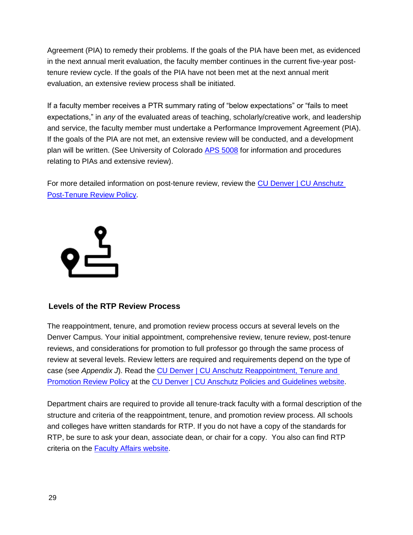Agreement (PIA) to remedy their problems. If the goals of the PIA have been met, as evidenced in the next annual merit evaluation, the faculty member continues in the current five-year posttenure review cycle. If the goals of the PIA have not been met at the next annual merit evaluation, an extensive review process shall be initiated.

If a faculty member receives a PTR summary rating of "below expectations" or "fails to meet expectations," in *any* of the evaluated areas of teaching, scholarly/creative work, and leadership and service, the faculty member must undertake a Performance Improvement Agreement (PIA). If the goals of the PIA are not met, an extensive review will be conducted, and a development plan will be written. (See University of Colorado **APS 5008** for information and procedures relating to PIAs and extensive review).

For more detailed information on post-tenure review, review the [CU Denver | CU Anschutz](https://www.ucdenver.edu/faculty_staff/employees/policies/Policies%20Library/1XXX%20Academic%20and%20Faculty%20Affairs/1050%20-%20Post%20Tenure%20Review.pdf)  [Post-Tenure Review Policy.](https://www.ucdenver.edu/faculty_staff/employees/policies/Policies%20Library/1XXX%20Academic%20and%20Faculty%20Affairs/1050%20-%20Post%20Tenure%20Review.pdf)

<span id="page-28-0"></span>

#### **Levels of the RTP Review Process**

The reappointment, tenure, and promotion review process occurs at several levels on the Denver Campus. Your initial appointment, comprehensive review, tenure review, post-tenure reviews, and considerations for promotion to full professor go through the same process of review at several levels. Review letters are required and requirements depend on the type of case (see Appendix J). Read the CU Denver | CU Anschutz Reappointment, Tenure and [Promotion Review Policy](https://www.ucdenver.edu/faculty_staff/employees/policies/Policies%20Library/1XXX%20Academic%20and%20Faculty%20Affairs/1004%20-%20Reappointment,%20Tenure,%20and%20Promotion%20Review.pdf) at the CU Denver | [CU Anschutz Policies and Guidelines website.](https://www.ucdenver.edu/faculty_staff/employees/policies/Pages/Academic-and-Faculty-Affairs-Policies.aspx)

Department chairs are required to provide all tenure-track faculty with a formal description of the structure and criteria of the reappointment, tenure, and promotion review process. All schools and colleges have written standards for RTP. If you do not have a copy of the standards for RTP, be sure to ask your dean, associate dean, or chair for a copy. You also can find RTP criteria on the [Faculty Affairs website.](https://www1.ucdenver.edu/offices/faculty-affairs/about-us/schools-and-colleges)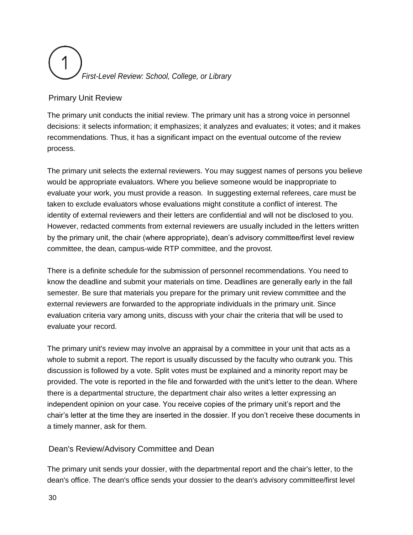# *First-Level Review: School, College, or Library*

#### Primary Unit Review

The primary unit conducts the initial review. The primary unit has a strong voice in personnel decisions: it selects information; it emphasizes; it analyzes and evaluates; it votes; and it makes recommendations. Thus, it has a significant impact on the eventual outcome of the review process.

The primary unit selects the external reviewers. You may suggest names of persons you believe would be appropriate evaluators. Where you believe someone would be inappropriate to evaluate your work, you must provide a reason. In suggesting external referees, care must be taken to exclude evaluators whose evaluations might constitute a conflict of interest. The identity of external reviewers and their letters are confidential and will not be disclosed to you. However, redacted comments from external reviewers are usually included in the letters written by the primary unit, the chair (where appropriate), dean's advisory committee/first level review committee, the dean, campus-wide RTP committee, and the provost.

There is a definite schedule for the submission of personnel recommendations. You need to know the deadline and submit your materials on time. Deadlines are generally early in the fall semester. Be sure that materials you prepare for the primary unit review committee and the external reviewers are forwarded to the appropriate individuals in the primary unit. Since evaluation criteria vary among units, discuss with your chair the criteria that will be used to evaluate your record.

The primary unit's review may involve an appraisal by a committee in your unit that acts as a whole to submit a report. The report is usually discussed by the faculty who outrank you. This discussion is followed by a vote. Split votes must be explained and a minority report may be provided. The vote is reported in the file and forwarded with the unit's letter to the dean. Where there is a departmental structure, the department chair also writes a letter expressing an independent opinion on your case. You receive copies of the primary unit's report and the chair's letter at the time they are inserted in the dossier. If you don't receive these documents in a timely manner, ask for them.

#### <span id="page-29-0"></span>Dean's Review/Advisory Committee and Dean

The primary unit sends your dossier, with the departmental report and the chair's letter, to the dean's office. The dean's office sends your dossier to the dean's advisory committee/first level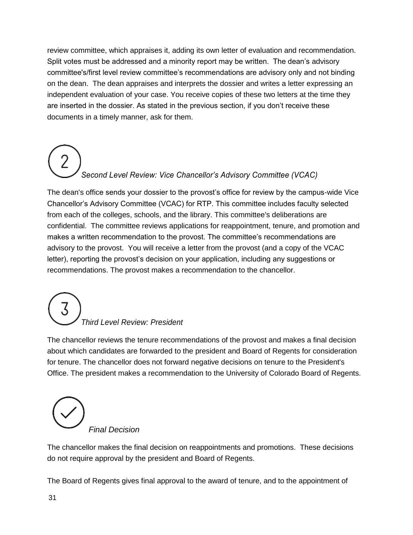review committee, which appraises it, adding its own letter of evaluation and recommendation. Split votes must be addressed and a minority report may be written. The dean's advisory committee's/first level review committee's recommendations are advisory only and not binding on the dean. The dean appraises and interprets the dossier and writes a letter expressing an independent evaluation of your case. You receive copies of these two letters at the time they are inserted in the dossier. As stated in the previous section, if you don't receive these documents in a timely manner, ask for them.

# <span id="page-30-0"></span>*Second Level Review: Vice Chancellor's Advisory Committee (VCAC)*

The dean's office sends your dossier to the provost's office for review by the campus-wide Vice Chancellor's Advisory Committee (VCAC) for RTP. This committee includes faculty selected from each of the colleges, schools, and the library. This committee's deliberations are confidential. The committee reviews applications for reappointment, tenure, and promotion and makes a written recommendation to the provost. The committee's recommendations are advisory to the provost. You will receive a letter from the provost (and a copy of the VCAC letter), reporting the provost's decision on your application, including any suggestions or recommendations. The provost makes a recommendation to the chancellor.

# <span id="page-30-1"></span>*Third Level Review: President*

<span id="page-30-2"></span>The chancellor reviews the tenure recommendations of the provost and makes a final decision about which candidates are forwarded to the president and Board of Regents for consideration for tenure. The chancellor does not forward negative decisions on tenure to the President's Office. The president makes a recommendation to the University of Colorado Board of Regents.

*Final Decision* 

The chancellor makes the final decision on reappointments and promotions. These decisions do not require approval by the president and Board of Regents.

The Board of Regents gives final approval to the award of tenure, and to the appointment of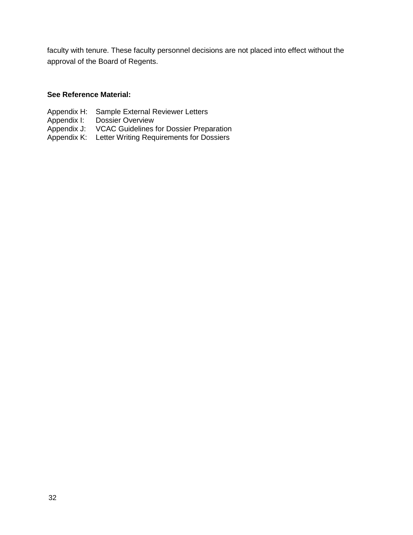faculty with tenure. These faculty personnel decisions are not placed into effect without the approval of the Board of Regents.

#### **See Reference Material:**

- Appendix H: Sample External Reviewer Letters
- Appendix I: Dossier Overview
- Appendix J: VCAC Guidelines for Dossier Preparation
- Appendix K: Letter Writing Requirements for Dossiers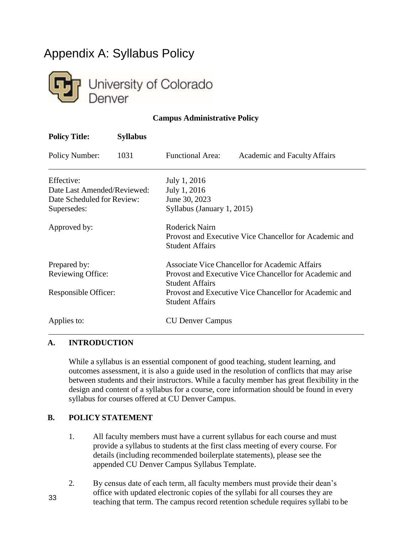# <span id="page-32-0"></span>Appendix A: Syllabus Policy



#### **Campus Administrative Policy**

| <b>Policy Title:</b>        | <b>Syllabus</b>                                                                  |                                                                                                           |                                                        |
|-----------------------------|----------------------------------------------------------------------------------|-----------------------------------------------------------------------------------------------------------|--------------------------------------------------------|
| <b>Policy Number:</b>       | 1031                                                                             | <b>Functional Area:</b>                                                                                   | Academic and Faculty Affairs                           |
| Effective:                  |                                                                                  | July 1, 2016                                                                                              |                                                        |
| Date Last Amended/Reviewed: |                                                                                  | July 1, 2016                                                                                              |                                                        |
| Date Scheduled for Review:  |                                                                                  | June 30, 2023                                                                                             |                                                        |
| Supersedes:                 |                                                                                  | Syllabus (January 1, 2015)                                                                                |                                                        |
| Approved by:                |                                                                                  | <b>Roderick Nairn</b><br>Provost and Executive Vice Chancellor for Academic and<br><b>Student Affairs</b> |                                                        |
| Prepared by:                |                                                                                  |                                                                                                           | Associate Vice Chancellor for Academic Affairs         |
| <b>Reviewing Office:</b>    | Provost and Executive Vice Chancellor for Academic and<br><b>Student Affairs</b> |                                                                                                           |                                                        |
| Responsible Officer:        |                                                                                  | <b>Student Affairs</b>                                                                                    | Provost and Executive Vice Chancellor for Academic and |
| Applies to:                 |                                                                                  | <b>CU Denver Campus</b>                                                                                   |                                                        |

#### **A. INTRODUCTION**

While a syllabus is an essential component of good teaching, student learning, and outcomes assessment, it is also a guide used in the resolution of conflicts that may arise between students and their instructors. While a faculty member has great flexibility in the design and content of a syllabus for a course, core information should be found in every syllabus for courses offered at CU Denver Campus.

#### **B. POLICY STATEMENT**

33

- 1. All faculty members must have a current syllabus for each course and must provide a syllabus to students at the first class meeting of every course. For details (including recommended boilerplate statements), please see the appended CU Denver Campus Syllabus Template.
- 2. By census date of each term, all faculty members must provide their dean's office with updated electronic copies of the syllabi for all courses they are teaching that term. The campus record retention schedule requires syllabi to be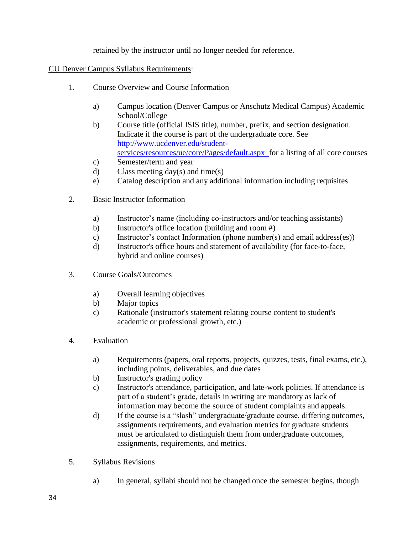retained by the instructor until no longer needed for reference.

#### CU Denver Campus Syllabus Requirements:

- 1. Course Overview and Course Information
	- a) Campus location (Denver Campus or Anschutz Medical Campus) Academic School/College
	- b) Course title (official ISIS title), number, prefix, and section designation. Indicate if the course is part of the undergraduate core. See [http://www.ucdenver.edu/student](http://www.ucdenver.edu/student-)[services/resources/ue/core/Pages/default.aspx](http://www.ucdenver.edu/student-services/resources/ue/core/Pages/default.aspx) for a listing of all core courses
	- c) Semester/term and year
	- d) Class meeting day(s) and time(s)
	- e) Catalog description and any additional information including requisites
- 2. Basic Instructor Information
	- a) Instructor's name (including co-instructors and/or teaching assistants)
	- b) Instructor's office location (building and room #)
	- c) Instructor's contact Information (phone number(s) and email address(es))
	- d) Instructor's office hours and statement of availability (for face-to-face, hybrid and online courses)
- 3. Course Goals/Outcomes
	- a) Overall learning objectives
	- b) Major topics
	- c) Rationale (instructor's statement relating course content to student's academic or professional growth, etc.)
- 4. Evaluation
	- a) Requirements (papers, oral reports, projects, quizzes, tests, final exams, etc.), including points, deliverables, and due dates
	- b) Instructor's grading policy
	- c) Instructor's attendance, participation, and late-work policies. If attendance is part of a student's grade, details in writing are mandatory as lack of information may become the source of student complaints and appeals.
	- d) If the course is a "slash" undergraduate/graduate course, differing outcomes, assignments requirements, and evaluation metrics for graduate students must be articulated to distinguish them from undergraduate outcomes, assignments, requirements, and metrics.
- 5. Syllabus Revisions
	- a) In general, syllabi should not be changed once the semester begins, though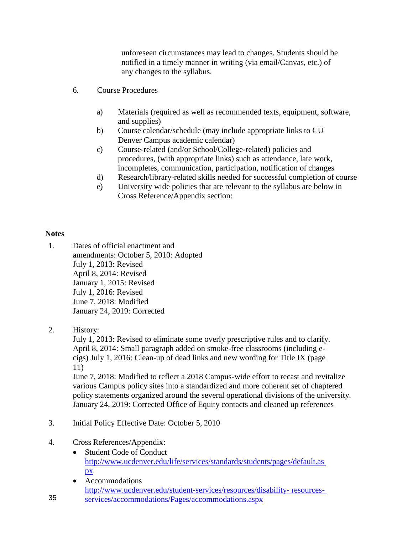unforeseen circumstances may lead to changes. Students should be notified in a timely manner in writing (via email/Canvas, etc.) of any changes to the syllabus.

- 6. Course Procedures
	- a) Materials (required as well as recommended texts, equipment, software, and supplies)
	- b) Course calendar/schedule (may include appropriate links to CU Denver Campus academic calendar)
	- c) Course-related (and/or School/College-related) policies and procedures, (with appropriate links) such as attendance, late work, incompletes, communication, participation, notification of changes
	- d) Research/library-related skills needed for successful completion of course
	- e) University wide policies that are relevant to the syllabus are below in Cross Reference/Appendix section:

#### **Notes**

- 1. Dates of official enactment and amendments: October 5, 2010: Adopted July 1, 2013: Revised April 8, 2014: Revised January 1, 2015: Revised July 1, 2016: Revised June 7, 2018: Modified January 24, 2019: Corrected
- 2. History:

35

July 1, 2013: Revised to eliminate some overly prescriptive rules and to clarify. April 8, 2014: Small paragraph added on smoke-free classrooms (including ecigs) July 1, 2016: Clean-up of dead links and new wording for Title IX (page 11)

June 7, 2018: Modified to reflect a 2018 Campus-wide effort to recast and revitalize various Campus policy sites into a standardized and more coherent set of chaptered policy statements organized around the several operational divisions of the university. January 24, 2019: Corrected Office of Equity contacts and cleaned up references

- 3. Initial Policy Effective Date: October 5, 2010
- 4. Cross References/Appendix:
	- Student Code of Conduct [http://www.ucdenver.edu/life/services/standards/students/pages/default.as](http://www.ucdenver.edu/life/services/standards/students/pages/default.aspx) [px](http://www.ucdenver.edu/life/services/standards/students/pages/default.aspx)
	- Accommodations [http://www.ucdenver.edu/student-services/resources/disability-](http://www.ucdenver.edu/student-services/resources/disability-resources-services/accommodations/Pages/accommodations.aspx) [resources](http://www.ucdenver.edu/student-services/resources/disability-resources-services/accommodations/Pages/accommodations.aspx)[services/accommodations/Pages/accommodations.aspx](http://www.ucdenver.edu/student-services/resources/disability-resources-services/accommodations/Pages/accommodations.aspx)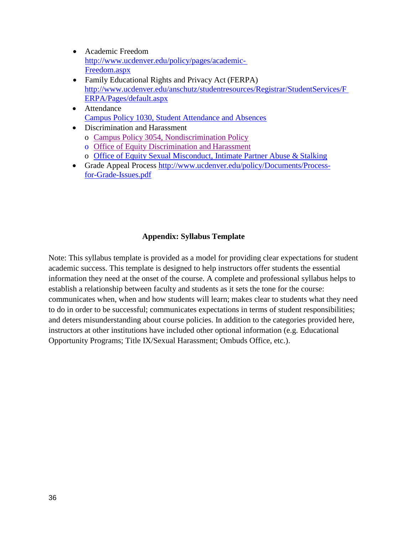- Academic Freedom [http://www.ucdenver.edu/policy/pages/academic-](http://www.ucdenver.edu/policy/pages/academic-Freedom.aspx)[Freedom.aspx](http://www.ucdenver.edu/policy/pages/academic-Freedom.aspx)
- Family Educational Rights and Privacy Act (FERPA) [http://www.ucdenver.edu/anschutz/studentresources/Registrar/StudentServices/F](http://www.ucdenver.edu/anschutz/studentresources/Registrar/StudentServices/FERPA/Pages/default.aspx) [ERPA/Pages/default.aspx](http://www.ucdenver.edu/anschutz/studentresources/Registrar/StudentServices/FERPA/Pages/default.aspx)
- Attendance [Campus Policy 1030, Student Attendance and Absences](https://www.ucdenver.edu/faculty_staff/employees/policies/Policies%20Library/1XXX%20Academic%20and%20Faculty%20Affairs/StudentAttendance.pdf)
- Discrimination and Harassment
	- o [Campus Policy 3054, Nondiscrimination](https://www.ucdenver.edu/faculty_staff/employees/policies/Policies%20Library/3XXX%20General%20Administration/3054%20-%20Nondiscrimination%20Policy.pdf) Policy
	- o [Office of Equity Discrimination and](https://www1.ucdenver.edu/offices/equity/university-policies-procedures/discrimination-and-harassment) Harassment
	- o [Office of Equity Sexual Misconduct, Intimate Partner Abuse &](https://www1.ucdenver.edu/offices/equity/university-policies-procedures/sexual-misconduct-intimate-partner-abuse-and-stalking) Stalking
- Grade Appeal Process [http://www.ucdenver.edu/policy/Documents/Process](http://www.ucdenver.edu/policy/Documents/Process-for-Grade-Issues.pdf)[for-Grade-Issues.pdf](http://www.ucdenver.edu/policy/Documents/Process-for-Grade-Issues.pdf)

#### **Appendix: Syllabus Template**

Note: This syllabus template is provided as a model for providing clear expectations for student academic success. This template is designed to help instructors offer students the essential information they need at the onset of the course. A complete and professional syllabus helps to establish a relationship between faculty and students as it sets the tone for the course: communicates when, when and how students will learn; makes clear to students what they need to do in order to be successful; communicates expectations in terms of student responsibilities; and deters misunderstanding about course policies. In addition to the categories provided here, instructors at other institutions have included other optional information (e.g. Educational Opportunity Programs; Title IX/Sexual Harassment; Ombuds Office, etc.).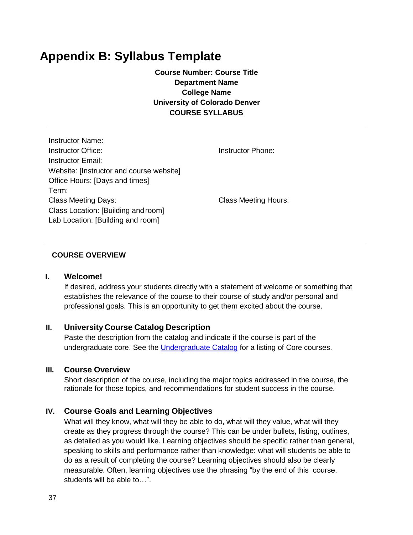### **Appendix B: Syllabus Template**

**Course Number: Course Title Department Name College Name University of Colorado Denver COURSE SYLLABUS**

| Instructor Name:                         |
|------------------------------------------|
| Instructor Office:                       |
| Instructor Email:                        |
| Website: [Instructor and course website] |
| Office Hours: [Days and times]           |
| Term:                                    |
| <b>Class Meeting Days:</b>               |
| Class Location: [Building and room]      |
| Lab Location: [Building and room]        |

Instructor Phone:

Class Meeting Hours:

#### **COURSE OVERVIEW**

#### **I. Welcome!**

If desired, address your students directly with a statement of welcome or something that establishes the relevance of the course to their course of study and/or personal and professional goals. This is an opportunity to get them excited about the course.

#### **II. University Course Catalog Description**

Paste the description from the catalog and indicate if the course is part of the undergraduate core. See the [Undergraduate Catalog](http://catalog.ucdenver.edu/preview_program.php?catoid=28&poid=9545&hl=core+courses&r%20eturnto=search) for a listing of Core courses.

#### **III. Course Overview**

Short description of the course, including the major topics addressed in the course, the rationale for those topics, and recommendations for student success in the course.

#### **IV. Course Goals and Learning Objectives**

What will they know, what will they be able to do, what will they value, what will they create as they progress through the course? This can be under bullets, listing, outlines, as detailed as you would like. Learning objectives should be specific rather than general, speaking to skills and performance rather than knowledge: what will students be able to do as a result of completing the course? Learning objectives should also be clearly measurable. Often, learning objectives use the phrasing "by the end of this course, students will be able to…".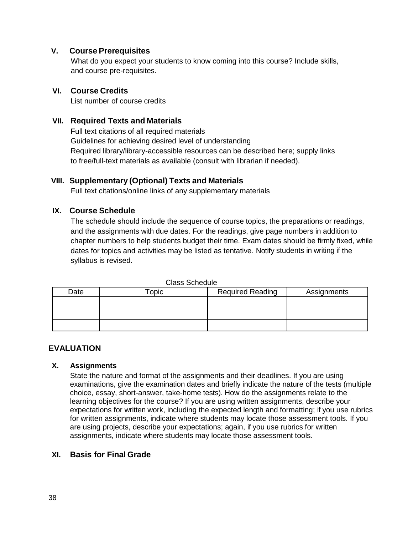#### **V. Course Prerequisites**

What do you expect your students to know coming into this course? Include skills, and course pre-requisites.

#### **VI. Course Credits**

List number of course credits

#### **VII. Required Texts and Materials**

Full text citations of all required materials Guidelines for achieving desired level of understanding Required library/library-accessible resources can be described here; supply links to free/full-text materials as available (consult with librarian if needed).

#### **VIII. Supplementary (Optional) Texts and Materials**

Full text citations/online links of any supplementary materials

#### **IX. Course Schedule**

The schedule should include the sequence of course topics, the preparations or readings, and the assignments with due dates. For the readings, give page numbers in addition to chapter numbers to help students budget their time. Exam dates should be firmly fixed, while dates for topics and activities may be listed as tentative. Notify students in writing if the syllabus is revised.

| Date | $\overline{\phantom{a}}$ copic | <b>Required Reading</b> | Assignments |  |  |  |
|------|--------------------------------|-------------------------|-------------|--|--|--|
|      |                                |                         |             |  |  |  |
|      |                                |                         |             |  |  |  |
|      |                                |                         |             |  |  |  |

Class Schedule

#### **EVALUATION**

#### **X. Assignments**

State the nature and format of the assignments and their deadlines. If you are using examinations, give the examination dates and briefly indicate the nature of the tests (multiple choice, essay, short-answer, take-home tests). How do the assignments relate to the learning objectives for the course? If you are using written assignments, describe your expectations for written work, including the expected length and formatting; if you use rubrics for written assignments, indicate where students may locate those assessment tools. If you are using projects, describe your expectations; again, if you use rubrics for written assignments, indicate where students may locate those assessment tools.

#### **XI. Basis for Final Grade**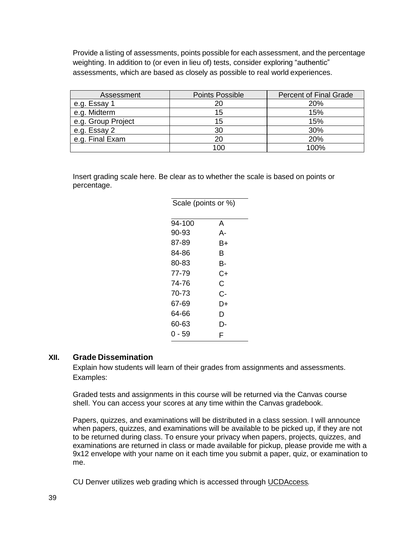Provide a listing of assessments, points possible for each assessment, and the percentage weighting. In addition to (or even in lieu of) tests, consider exploring "authentic" assessments, which are based as closely as possible to real world experiences.

| Assessment         | <b>Points Possible</b> | <b>Percent of Final Grade</b> |  |
|--------------------|------------------------|-------------------------------|--|
| e.g. Essay 1       | 20                     | 20%                           |  |
| e.g. Midterm       | 15                     | 15%                           |  |
| e.g. Group Project | 15                     | 15%                           |  |
| e.g. Essay 2       | 30                     | 30%                           |  |
| e.g. Final Exam    | 20                     | 20%                           |  |
|                    | 100                    | 100%                          |  |

Insert grading scale here. Be clear as to whether the scale is based on points or percentage.

Scale (points or %)

| <i>ו</i> טל וט טוווטקן טווטט |    |
|------------------------------|----|
| $94 - 100$                   | А  |
| 90-93                        | A- |
| 87-89                        | B+ |
| 84-86                        | в  |
| 80-83                        | в- |
| 77-79                        | C+ |
| 74-76                        | С  |
| 70-73                        | C- |
| 67-69                        | D+ |
| 64-66                        | D  |
| 60-63                        | D- |
| 0 - 59                       | F  |

#### **XII. Grade Dissemination**

Explain how students will learn of their grades from assignments and assessments. Examples:

Graded tests and assignments in this course will be returned via the Canvas course shell. You can access your scores at any time within the Canvas gradebook.

Papers, quizzes, and examinations will be distributed in a class session. I will announce when papers, quizzes, and examinations will be available to be picked up, if they are not to be returned during class. To ensure your privacy when papers, projects, quizzes, and examinations are returned in class or made available for pickup, please provide me with a 9x12 envelope with your name on it each time you submit a paper, quiz, or examination to me.

CU Denver utilizes web grading which is accessed through UCDAccess*.*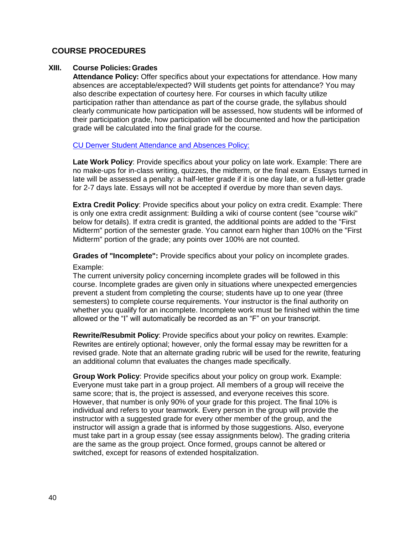#### **COURSE PROCEDURES**

#### **XIII. Course Policies:Grades**

**Attendance Policy:** Offer specifics about your expectations for attendance. How many absences are acceptable/expected? Will students get points for attendance? You may also describe expectation of courtesy here. For courses in which faculty utilize participation rather than attendance as part of the course grade, the syllabus should clearly communicate how participation will be assessed, how students will be informed of their participation grade, how participation will be documented and how the participation grade will be calculated into the final grade for the course.

#### [CU Denver Student Attendance and Absences Policy:](https://www.ucdenver.edu/faculty_staff/employees/policies/Policies%20Library/7XXX%20Student%20Affairs/7030%20-%20Student%20Attendance%20and%20Absences.pdf)

**Late Work Policy**: Provide specifics about your policy on late work. Example: There are no make-ups for in-class writing, quizzes, the midterm, or the final exam. Essays turned in late will be assessed a penalty: a half-letter grade if it is one day late, or a full-letter grade for 2-7 days late. Essays will not be accepted if overdue by more than seven days.

**Extra Credit Policy**: Provide specifics about your policy on extra credit. Example: There is only one extra credit assignment: Building a wiki of course content (see "course wiki" below for details). If extra credit is granted, the additional points are added to the "First Midterm" portion of the semester grade. You cannot earn higher than 100% on the "First Midterm" portion of the grade; any points over 100% are not counted.

**Grades of "Incomplete":** Provide specifics about your policy on incomplete grades.

#### Example:

The current university policy concerning incomplete grades will be followed in this course. Incomplete grades are given only in situations where unexpected emergencies prevent a student from completing the course; students have up to one year (three semesters) to complete course requirements. Your instructor is the final authority on whether you qualify for an incomplete. Incomplete work must be finished within the time allowed or the "I" will automatically be recorded as an "F" on your transcript.

**Rewrite/Resubmit Policy**: Provide specifics about your policy on rewrites. Example: Rewrites are entirely optional; however, only the formal essay may be rewritten for a revised grade. Note that an alternate grading rubric will be used for the rewrite, featuring an additional column that evaluates the changes made specifically.

**Group Work Policy**: Provide specifics about your policy on group work. Example: Everyone must take part in a group project. All members of a group will receive the same score; that is, the project is assessed, and everyone receives this score. However, that number is only 90% of your grade for this project. The final 10% is individual and refers to your teamwork. Every person in the group will provide the instructor with a suggested grade for every other member of the group, and the instructor will assign a grade that is informed by those suggestions. Also, everyone must take part in a group essay (see essay assignments below). The grading criteria are the same as the group project. Once formed, groups cannot be altered or switched, except for reasons of extended hospitalization.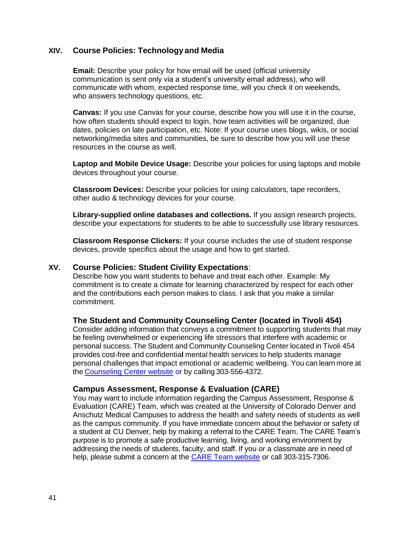#### **XIV. Course Policies: Technology and Media**

**Email:** Describe your policy for how email will be used (official university communication is sent only via a student's university email address), who will communicate with whom, expected response time, will you check it on weekends, who answers technology questions, etc.

**Canvas:** If you use Canvas for your course, describe how you will use it in the course, how often students should expect to login, how team activities will be organized, due dates, policies on late participation, etc. Note: If your course uses blogs, wikis, or social networking/media sites and communities, be sure to describe how you will use these resources in the course as well.

**Laptop and Mobile Device Usage:** Describe your policies for using laptops and mobile devices throughout your course.

**Classroom Devices:** Describe your policies for using calculators, tape recorders, other audio & technology devices for your course.

**Library-supplied online databases and collections.** If you assign research projects, describe your expectations for students to be able to successfully use library resources.

**Classroom Response Clickers:** If your course includes the use of student response devices, provide specifics about the usage and how to get started.

#### **XV. Course Policies: Student Civility Expectations**:

Describe how you want students to behave and treat each other. Example: My commitment is to create a climate for learning characterized by respect for each other and the contributions each person makes to class. I ask that you make a similar commitment.

#### **The Student and Community Counseling Center (located in Tivoli 454)**

Consider adding information that conveys a commitment to supporting students that may be feeling overwhelmed or experiencing life stressors that interfere with academic or personal success. The Student and Community Counseling Center located in Tivoli 454 provides cost-free and confidentia**l** mental health services to help students manage personal challenges that impact emotional or academic wellbeing. You can learn more at the [Counseling Center website](https://www.ucdenver.edu/counseling-center) or by calling 303-556-4372.

#### **Campus Assessment, Response & Evaluation (CARE)**

You may want to include information regarding the Campus Assessment, Response & Evaluation (CARE) Team, which was created at the University of Colorado Denver and Anschutz Medical Campuses to address the health and safety needs of students as well as the campus community. If you have immediate concern about the behavior or safety of a student at CU Denver, help by making a referral to the CARE Team. The CARE Team's purpose is to promote a safe productive learning, living, and working environment by addressing the needs of students, faculty, and staff. If you or a classmate are in need of help, please submit a concern at the **CARE Team website or call 303-315-7306**.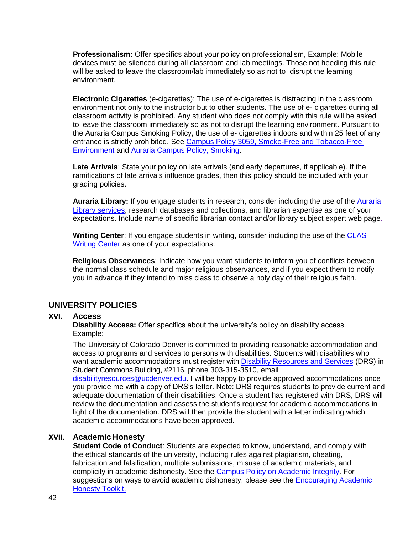**Professionalism:** Offer specifics about your policy on professionalism, Example: Mobile devices must be silenced during all classroom and lab meetings. Those not heeding this rule will be asked to leave the classroom/lab immediately so as not to disrupt the learning environment.

**Electronic Cigarettes** (e-cigarettes): The use of e-cigarettes is distracting in the classroom environment not only to the instructor but to other students. The use of e- cigarettes during all classroom activity is prohibited. Any student who does not comply with this rule will be asked to leave the classroom immediately so as not to disrupt the learning environment. Pursuant to the Auraria Campus Smoking Policy, the use of e- cigarettes indoors and within 25 feet of any entrance is strictly prohibited. See [Campus Policy 3059, Smoke-Free and Tobacco-Free](https://www.ucdenver.edu/faculty_staff/employees/policies/Policies%20Library/3XXX%20General%20Administration/3059%20-%20Smoke-Free%20and%20Tobacco-Free%20Environment.pdf)  [Environment a](https://www.ucdenver.edu/faculty_staff/employees/policies/Policies%20Library/3XXX%20General%20Administration/3059%20-%20Smoke-Free%20and%20Tobacco-Free%20Environment.pdf)nd [Auraria](https://www.ahec.edu/files/general/Policy-Smoking.pdf) [Campus Policy, Smoking.](https://www.ahec.edu/files/general/Policy-Smoking.pdf)

**Late Arrivals**: State your policy on late arrivals (and early departures, if applicable). If the ramifications of late arrivals influence grades, then this policy should be included with your grading policies.

**Auraria Library:** If you engage students in research, consider including the use of the [Auraria](http://library.auraria.edu/services)  [Library services,](http://library.auraria.edu/services) research databases and collections, and librarian expertise as one of your expectations. Include name of specific librarian contact and/or library subject expert web page.

**Writing Center**: If you engage students in writing, consider including the use of the [CLAS](https://clas.ucdenver.edu/writing-center/)  [Writing Center a](https://clas.ucdenver.edu/writing-center/)s one of your expectations.

**Religious Observances**: Indicate how you want students to inform you of conflicts between the normal class schedule and major religious observances, and if you expect them to notify you in advance if they intend to miss class to observe a holy day of their religious faith.

#### **UNIVERSITY POLICIES**

#### **XVI. Access**

**Disability Access:** Offer specifics about the university's policy on disability access. Example:

The University of Colorado Denver is committed to providing reasonable accommodation and access to programs and services to persons with disabilities. Students with disabilities who want academic accommodations must register with [Disability Resources and Services](https://www.ucdenver.edu/student-services/resources/disability-resources-services/pages/disability-resources-services.aspx) (DRS) in Student Commons Building, #2116, phone 303-315-3510, email

[disabilityresources@ucdenver.edu.](mailto:disabilityresources@ucdenver.edu) I will be happy to provide approved accommodations once you provide me with a copy of DRS's letter. Note: DRS requires students to provide current and adequate documentation of their disabilities. Once a student has registered with DRS, DRS will review the documentation and assess the student's request for academic accommodations in light of the documentation. DRS will then provide the student with a letter indicating which academic accommodations have been approved.

#### **XVII. Academic Honesty**

**Student Code of Conduct**: Students are expected to know, understand, and comply with the ethical standards of the university, including rules against plagiarism, cheating, fabrication and falsification, multiple submissions, misuse of academic materials, and complicity in academic dishonesty. See the [Campus Policy on Academic Integrity.](https://www.ucdenver.edu/faculty_staff/employees/policies/Policies%20Library/7XXX%20Student%20Affairs/7050%20-%20Academic%20Integrity.pdf) For suggestions on ways to avoid academic dishonesty, please see the [Encouraging Academic](https://www.ucdenver.edu/faculty_staff/faculty/center-for-faculty-development/resources/Documents/OnlineAcademicHonestyToolkit_MKC_v3.pdf)  [Honesty Toolkit.](https://www.ucdenver.edu/faculty_staff/faculty/center-for-faculty-development/resources/Documents/OnlineAcademicHonestyToolkit_MKC_v3.pdf)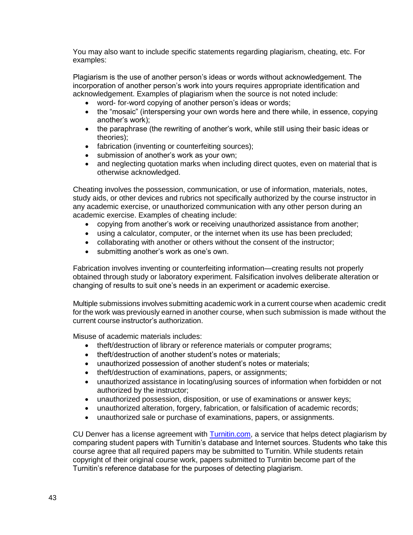You may also want to include specific statements regarding plagiarism, cheating, etc. For examples:

Plagiarism is the use of another person's ideas or words without acknowledgement. The incorporation of another person's work into yours requires appropriate identification and acknowledgement. Examples of plagiarism when the source is not noted include:

- word- for-word copying of another person's ideas or words;
- the "mosaic" (interspersing your own words here and there while, in essence, copying another's work);
- the paraphrase (the rewriting of another's work, while still using their basic ideas or theories);
- fabrication (inventing or counterfeiting sources);
- submission of another's work as your own;
- and neglecting quotation marks when including direct quotes, even on material that is otherwise acknowledged.

Cheating involves the possession, communication, or use of information, materials, notes, study aids, or other devices and rubrics not specifically authorized by the course instructor in any academic exercise, or unauthorized communication with any other person during an academic exercise. Examples of cheating include:

- copying from another's work or receiving unauthorized assistance from another;
- using a calculator, computer, or the internet when its use has been precluded;
- collaborating with another or others without the consent of the instructor;
- submitting another's work as one's own.

Fabrication involves inventing or counterfeiting information—creating results not properly obtained through study or laboratory experiment. Falsification involves deliberate alteration or changing of results to suit one's needs in an experiment or academic exercise.

Multiple submissions involves submitting academic work in a current course when academic credit for the work was previously earned in another course, when such submission is made without the current course instructor's authorization.

Misuse of academic materials includes:

- theft/destruction of library or reference materials or computer programs;
- theft/destruction of another student's notes or materials:
- unauthorized possession of another student's notes or materials;
- theft/destruction of examinations, papers, or assignments;
- unauthorized assistance in locating/using sources of information when forbidden or not authorized by the instructor;
- unauthorized possession, disposition, or use of examinations or answer keys;
- unauthorized alteration, forgery, fabrication, or falsification of academic records;
- unauthorized sale or purchase of examinations, papers, or assignments.

CU Denver has a license agreement with [Turnitin.com,](https://www.turnitin.com/) a service that helps detect plagiarism by comparing student papers with Turnitin's database and Internet sources. Students who take this course agree that all required papers may be submitted to Turnitin. While students retain copyright of their original course work, papers submitted to Turnitin become part of the Turnitin's reference database for the purposes of detecting plagiarism.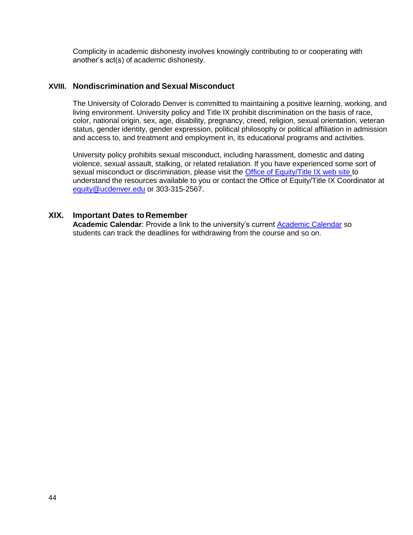Complicity in academic dishonesty involves knowingly contributing to or cooperating with another's act(s) of academic dishonesty.

#### **XVIII. Nondiscrimination and Sexual Misconduct**

The University of Colorado Denver is committed to maintaining a positive learning, working, and living environment. University policy and Title IX prohibit discrimination on the basis of race, color, national origin, sex, age, disability, pregnancy, creed, religion, sexual orientation, veteran status, gender identity, gender expression, political philosophy or political affiliation in admission and access to, and treatment and employment in, its educational programs and activities.

University policy prohibits sexual misconduct, including harassment, domestic and dating violence, sexual assault, stalking, or related retaliation. If you have experienced some sort of sexual misconduct or discrimination, please visit the [Office of Equity/Title IX web site t](https://www1.ucdenver.edu/offices/equity)o understand the resources available to you or contact the Office of Equity/Title IX Coordinator at [equity@ucdenver.edu](mailto:equity@ucdenver.edu) or 303-315-2567.

#### **XIX. Important Dates to Remember**

**Academic Calendar**: Provide a link to the university's current [Academic Calendar](https://ucdenver.edu/student/registration-planning/academic-calendars) so students can track the deadlines for withdrawing from the course and so on.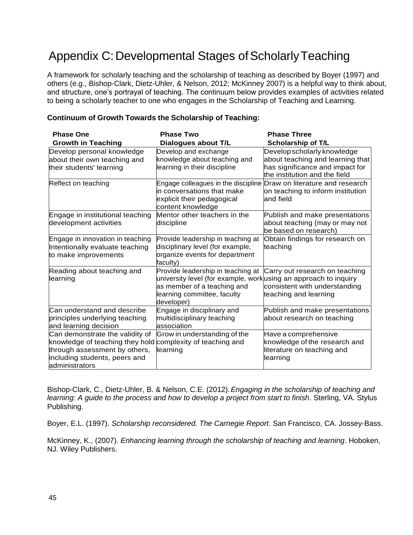# <span id="page-44-0"></span>Appendix C: Developmental Stages of Scholarly Teaching

A framework for scholarly teaching and the scholarship of teaching as described by Boyer (1997) and others (e.g., Bishop-Clark, Dietz-Uhler, & Nelson, 2012; McKinney 2007) is a helpful way to think about, and structure, one's portrayal of teaching. The continuum below provides examples of activities related to being a scholarly teacher to one who engages in the Scholarship of Teaching and Learning.

| <b>Phase One</b><br><b>Growth in Teaching</b>                                                                                                                                     | <b>Phase Two</b><br>Dialogues about T/L                                                                                                                                           | <b>Phase Three</b><br><b>Scholarship of T/L</b>                                                                                     |
|-----------------------------------------------------------------------------------------------------------------------------------------------------------------------------------|-----------------------------------------------------------------------------------------------------------------------------------------------------------------------------------|-------------------------------------------------------------------------------------------------------------------------------------|
| Develop personal knowledge<br>about their own teaching and<br>their students' learning                                                                                            | Develop and exchange<br>knowledge about teaching and<br>learning in their discipline                                                                                              | Develop scholarly knowledge<br>about teaching and learning that<br>has significance and impact for<br>the institution and the field |
| Reflect on teaching                                                                                                                                                               | Engage colleagues in the discipline Draw on literature and research<br>in conversations that make<br>explicit their pedagogical<br>content knowledge                              | on teaching to inform institution<br>and field                                                                                      |
| Engage in institutional teaching<br>development activities                                                                                                                        | Mentor other teachers in the<br>discipline                                                                                                                                        | Publish and make presentations<br>about teaching (may or may not<br>be based on research)                                           |
| Engage in innovation in teaching<br>Intentionally evaluate teaching<br>to make improvements                                                                                       | Provide leadership in teaching at<br>disciplinary level (for example,<br>organize events for department<br>faculty)                                                               | Obtain findings for research on<br>teaching                                                                                         |
| Reading about teaching and<br>learning                                                                                                                                            | Provide leadership in teaching at<br>university level (for example, work using an approach to inquiry<br>as member of a teaching and<br>learning committee, faculty<br>developer) | Carry out research on teaching<br>consistent with understanding<br>teaching and learning                                            |
| Can understand and describe<br>principles underlying teaching<br>and learning decision                                                                                            | Engage in disciplinary and<br>multidisciplinary teaching<br>association                                                                                                           | Publish and make presentations<br>about research on teaching                                                                        |
| Can demonstrate the validity of<br>knowledge of teaching they hold complexity of teaching and<br>through assessment by others,<br>including students, peers and<br>administrators | Grow in understanding of the<br>learning                                                                                                                                          | Have a comprehensive<br>knowledge of the research and<br>literature on teaching and<br>learning                                     |

#### **Continuum of Growth Towards the Scholarship of Teaching:**

Bishop-Clark, C., Dietz-Uhler, B. & Nelson, C.E. (2012).*Engaging in the scholarship of teaching and learning: A guide to the process and how to develop a project from start to finish*. Sterling, VA. Stylus Publishing.

Boyer, E.L. (1997). *Scholarship reconsidered. The Carnegie Report*. San Francisco, CA. Jossey-Bass.

McKinney, K., (2007). *Enhancing learning through the scholarship of teaching and learning*. Hoboken, NJ. Wiley Publishers.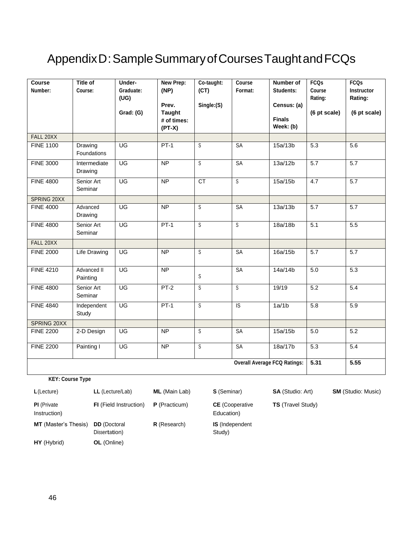# <span id="page-45-0"></span>Appendix D: Sample Summary of Courses Taught and FCQs

| Course<br>Number: | <b>Title of</b><br>Course: | Under-<br>Graduate:<br>(UG)<br>Grad: (G) | <b>New Prep:</b><br>(NP)<br>Prev.<br><b>Taught</b><br># of times:<br>$(PT-X)$ | Co-taught:<br>(CT)<br>Single:(S) | Course<br>Format:       | Number of<br>Students:<br>Census: (a)<br><b>Finals</b><br>Week: (b) | <b>FCQs</b><br>Course<br>Rating:<br>(6 pt scale) | <b>FCQs</b><br>Instructor<br>Rating:<br>(6 pt scale) |
|-------------------|----------------------------|------------------------------------------|-------------------------------------------------------------------------------|----------------------------------|-------------------------|---------------------------------------------------------------------|--------------------------------------------------|------------------------------------------------------|
| FALL 20XX         |                            |                                          |                                                                               |                                  |                         |                                                                     |                                                  |                                                      |
| <b>FINE 1100</b>  | Drawing<br>Foundations     | UG                                       | $PT-1$                                                                        | $\overline{s}$                   | SA                      | 15a/13b                                                             | 5.3                                              | 5.6                                                  |
| <b>FINE 3000</b>  | Intermediate<br>Drawing    | $\overline{\mathsf{U}\mathsf{G}}$        | <b>NP</b>                                                                     | $\overline{s}$                   | <b>SA</b>               | 13a/12b                                                             | 5.7                                              | 5.7                                                  |
| <b>FINE 4800</b>  | Senior Art<br>Seminar      | UG                                       | <b>NP</b>                                                                     | <b>CT</b>                        | $\overline{s}$          | 15a/15b                                                             | 4.7                                              | 5.7                                                  |
| SPRING 20XX       |                            |                                          |                                                                               |                                  |                         |                                                                     |                                                  |                                                      |
| <b>FINE 4000</b>  | Advanced<br>Drawing        | UG                                       | <b>NP</b>                                                                     | S                                | <b>SA</b>               | 13a/13b                                                             | 5.7                                              | 5.7                                                  |
| <b>FINE 4800</b>  | Senior Art<br>Seminar      | UG                                       | $PT-1$                                                                        | $\overline{s}$                   | $\overline{s}$          | 18a/18b                                                             | 5.1                                              | 5.5                                                  |
| FALL 20XX         |                            |                                          |                                                                               |                                  |                         |                                                                     |                                                  |                                                      |
| <b>FINE 2000</b>  | <b>Life Drawing</b>        | UG                                       | <b>NP</b>                                                                     | S                                | <b>SA</b>               | 16a/15b                                                             | 5.7                                              | 5.7                                                  |
| <b>FINE 4210</b>  | Advanced II<br>Painting    | UG                                       | <b>NP</b>                                                                     | S                                | <b>SA</b>               | 14a/14b                                                             | 5.0                                              | 5.3                                                  |
| <b>FINE 4800</b>  | Senior Art<br>Seminar      | UG                                       | $PT-2$                                                                        | S                                | $\overline{\mathbf{s}}$ | 19/19                                                               | 5.2                                              | 5.4                                                  |
| <b>FINE 4840</b>  | Independent<br>Study       | $\overline{\mathsf{U}\mathsf{G}}$        | $PT-1$                                                                        | $\overline{s}$                   | $\overline{S}$          | 1a/1b                                                               | 5.8                                              | 5.9                                                  |
| SPRING 20XX       |                            |                                          |                                                                               |                                  |                         |                                                                     |                                                  |                                                      |
| <b>FINE 2200</b>  | 2-D Design                 | UG                                       | <b>NP</b>                                                                     | $\overline{s}$                   | SA                      | 15a/15b                                                             | 5.0                                              | 5.2                                                  |
| <b>FINE 2200</b>  | Painting I                 | UG                                       | <b>NP</b>                                                                     | $\mathbb S$                      | <b>SA</b>               | 18a/17b                                                             | 5.3                                              | 5.4                                                  |
|                   |                            |                                          |                                                                               |                                  |                         | <b>Overall Average FCQ Ratings:</b>                                 | 5.31                                             | 5.55                                                 |

**KEY: Course Type**

| L(Lecture)                         | LL (Lecture/Lab)                     | <b>ML</b> (Main Lab) | <b>S</b> (Seminar)                   | <b>SA</b> (Studio: Art)  |
|------------------------------------|--------------------------------------|----------------------|--------------------------------------|--------------------------|
| <b>PI</b> (Private<br>Instruction) | <b>FI</b> (Field Instruction)        | <b>P</b> (Practicum) | <b>CE</b> (Cooperative<br>Education) | <b>TS</b> (Travel Study) |
| <b>MT</b> (Master's Thesis)        | <b>DD</b> (Doctoral<br>Dissertation) | R (Research)         | <b>IS</b> (Independent<br>Study)     |                          |
| HY (Hybrid)                        | OL (Online)                          |                      |                                      |                          |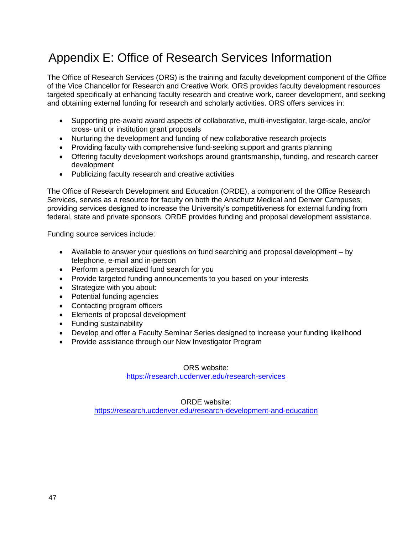# Appendix E: Office of Research Services Information

The Office of Research Services (ORS) is the training and faculty development component of the Office of the Vice Chancellor for Research and Creative Work. ORS provides faculty development resources targeted specifically at enhancing faculty research and creative work, career development, and seeking and obtaining external funding for research and scholarly activities. ORS offers services in:

- Supporting pre-award award aspects of collaborative, multi-investigator, large-scale, and/or cross- unit or institution grant proposals
- Nurturing the development and funding of new collaborative research projects
- Providing faculty with comprehensive fund-seeking support and grants planning
- Offering faculty development workshops around grantsmanship, funding, and research career development
- Publicizing faculty research and creative activities

The Office of Research Development and Education (ORDE), a component of the Office Research Services, serves as a resource for faculty on both the Anschutz Medical and Denver Campuses, providing services designed to increase the University's competitiveness for external funding from federal, state and private sponsors. ORDE provides funding and proposal development assistance.

Funding source services include:

- Available to answer your questions on fund searching and proposal development by telephone, e-mail and in-person
- Perform a personalized fund search for you
- Provide targeted funding announcements to you based on your interests
- Strategize with you about:
- Potential funding agencies
- Contacting program officers
- Elements of proposal development
- Funding sustainability
- Develop and offer a Faculty Seminar Series designed to increase your funding likelihood
- Provide assistance through our New Investigator Program

ORS website:

<https://research.ucdenver.edu/research-services>

ORDE website:

<https://research.ucdenver.edu/research-development-and-education>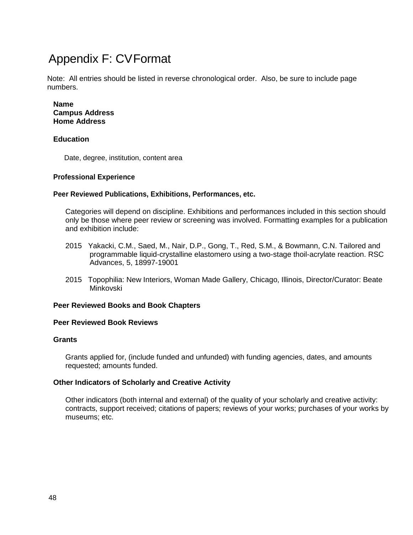# <span id="page-47-0"></span>Appendix F: CVFormat

Note: All entries should be listed in reverse chronological order. Also, be sure to include page numbers.

#### **Name Campus Address Home Address**

#### **Education**

Date, degree, institution, content area

#### **Professional Experience**

#### **Peer Reviewed Publications, Exhibitions, Performances, etc.**

Categories will depend on discipline. Exhibitions and performances included in this section should only be those where peer review or screening was involved. Formatting examples for a publication and exhibition include:

- 2015 Yakacki, C.M., Saed, M., Nair, D.P., Gong, T., Red, S.M., & Bowmann, C.N. Tailored and programmable liquid-crystalline elastomero using a two-stage thoil-acrylate reaction. RSC Advances, 5, 18997-19001
- 2015 Topophilia: New Interiors, Woman Made Gallery, Chicago, Illinois, Director/Curator: Beate Minkovski

#### **Peer Reviewed Books and Book Chapters**

#### **Peer Reviewed Book Reviews**

#### **Grants**

Grants applied for, (include funded and unfunded) with funding agencies, dates, and amounts requested; amounts funded.

#### **Other Indicators of Scholarly and Creative Activity**

Other indicators (both internal and external) of the quality of your scholarly and creative activity: contracts, support received; citations of papers; reviews of your works; purchases of your works by museums; etc.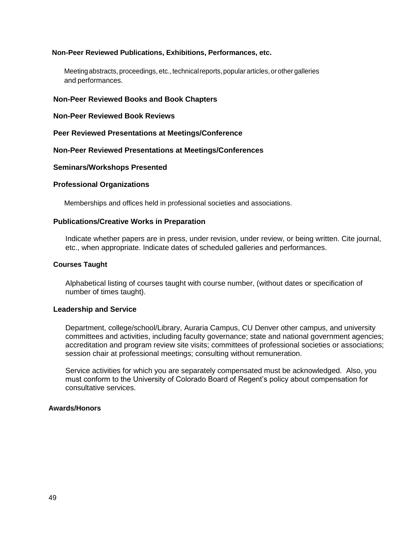#### **Non-Peer Reviewed Publications, Exhibitions, Performances, etc.**

Meeting abstracts, proceedings, etc., technical reports, popular articles, or other galleries and performances.

#### **Non-Peer Reviewed Books and Book Chapters**

**Non-Peer Reviewed Book Reviews**

#### **Peer Reviewed Presentations at Meetings/Conference**

#### **Non-Peer Reviewed Presentations at Meetings/Conferences**

#### **Seminars/Workshops Presented**

#### **Professional Organizations**

Memberships and offices held in professional societies and associations.

#### **Publications/Creative Works in Preparation**

Indicate whether papers are in press, under revision, under review, or being written. Cite journal, etc., when appropriate. Indicate dates of scheduled galleries and performances.

#### **Courses Taught**

Alphabetical listing of courses taught with course number, (without dates or specification of number of times taught).

#### **Leadership and Service**

Department, college/school/Library, Auraria Campus, CU Denver other campus, and university committees and activities, including faculty governance; state and national government agencies; accreditation and program review site visits; committees of professional societies or associations; session chair at professional meetings; consulting without remuneration.

Service activities for which you are separately compensated must be acknowledged. Also, you must conform to the University of Colorado Board of Regent's policy about compensation for consultative services.

#### **Awards/Honors**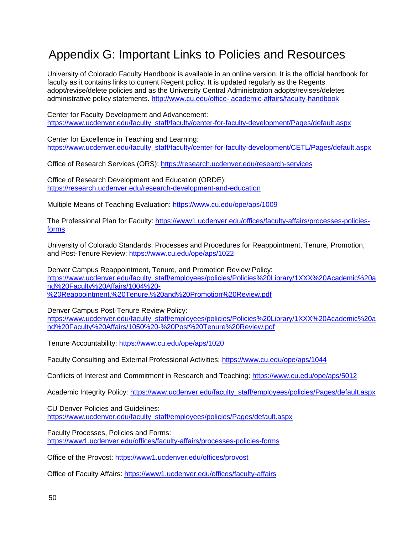### <span id="page-49-0"></span>Appendix G: Important Links to Policies and Resources

University of Colorado Faculty Handbook is available in an online version. It is the official handbook for faculty as it contains links to current Regent policy. It is updated regularly as the Regents adopt/revise/delete policies and as the University Central Administration adopts/revises/deletes administrative policy statements. http://www.cu.edu/office- [academic-affairs/faculty-handbook](http://www.cu.edu/office-%20academic-affairs/faculty-handbook)

Center for Faculty Development and Advancement: [https://www.ucdenver.edu/faculty\\_staff/faculty/center-for-faculty-development/Pages/default.aspx](https://www.ucdenver.edu/faculty_staff/faculty/center-for-faculty-development/Pages/default.aspx)

Center for Excellence in Teaching and Learning: [https://www.ucdenver.edu/faculty\\_staff/faculty/center-for-faculty-development/CETL/Pages/default.aspx](https://www.ucdenver.edu/faculty_staff/faculty/center-for-faculty-development/CETL/Pages/default.aspx)

Office of Research Services (ORS):<https://research.ucdenver.edu/research-services>

Office of Research Development and Education (ORDE): <https://research.ucdenver.edu/research-development-and-education>

Multiple Means of Teaching Evaluation:<https://www.cu.edu/ope/aps/1009>

The Professional Plan for Faculty: [https://www1.ucdenver.edu/offices/faculty-affairs/processes-policies](https://www1.ucdenver.edu/offices/faculty-affairs/processes-policies-forms)[forms](https://www1.ucdenver.edu/offices/faculty-affairs/processes-policies-forms)

University of Colorado Standards, Processes and Procedures for Reappointment, Tenure, Promotion, and Post-Tenure Review:<https://www.cu.edu/ope/aps/1022>

Denver Campus Reappointment, Tenure, and Promotion Review Policy: [https://www.ucdenver.edu/faculty\\_staff/employees/policies/Policies%20Library/1XXX%20Academic%20a](https://www.ucdenver.edu/faculty_staff/employees/policies/Policies%20Library/1XXX%20Academic%20and%20Faculty%20Affairs/1004%20-%20Reappointment,%20Tenure,%20and%20Promotion%20Review.pdf) [nd%20Faculty%20Affairs/1004%20-](https://www.ucdenver.edu/faculty_staff/employees/policies/Policies%20Library/1XXX%20Academic%20and%20Faculty%20Affairs/1004%20-%20Reappointment,%20Tenure,%20and%20Promotion%20Review.pdf) [%20Reappointment,%20Tenure,%20and%20Promotion%20Review.pdf](https://www.ucdenver.edu/faculty_staff/employees/policies/Policies%20Library/1XXX%20Academic%20and%20Faculty%20Affairs/1004%20-%20Reappointment,%20Tenure,%20and%20Promotion%20Review.pdf)

Denver Campus Post-Tenure Review Policy:

[https://www.ucdenver.edu/faculty\\_staff/employees/policies/Policies%20Library/1XXX%20Academic%20a](https://www.ucdenver.edu/faculty_staff/employees/policies/Policies%20Library/1XXX%20Academic%20and%20Faculty%20Affairs/1050%20-%20Post%20Tenure%20Review.pdf) [nd%20Faculty%20Affairs/1050%20-%20Post%20Tenure%20Review.pdf](https://www.ucdenver.edu/faculty_staff/employees/policies/Policies%20Library/1XXX%20Academic%20and%20Faculty%20Affairs/1050%20-%20Post%20Tenure%20Review.pdf)

Tenure Accountability:<https://www.cu.edu/ope/aps/1020>

Faculty Consulting and External Professional Activities:<https://www.cu.edu/ope/aps/1044>

Conflicts of Interest and Commitment in Research and Teaching:<https://www.cu.edu/ope/aps/5012>

Academic Integrity Policy: [https://www.ucdenver.edu/faculty\\_staff/employees/policies/Pages/default.aspx](https://www.ucdenver.edu/faculty_staff/employees/policies/Pages/default.aspx)

CU Denver Policies and Guidelines: [https://www.ucdenver.edu/faculty\\_staff/employees/policies/Pages/default.aspx](https://www.ucdenver.edu/faculty_staff/employees/policies/Pages/default.aspx)

Faculty Processes, Policies and Forms: <https://www1.ucdenver.edu/offices/faculty-affairs/processes-policies-forms>

Office of the Provost:<https://www1.ucdenver.edu/offices/provost>

Office of Faculty Affairs:<https://www1.ucdenver.edu/offices/faculty-affairs>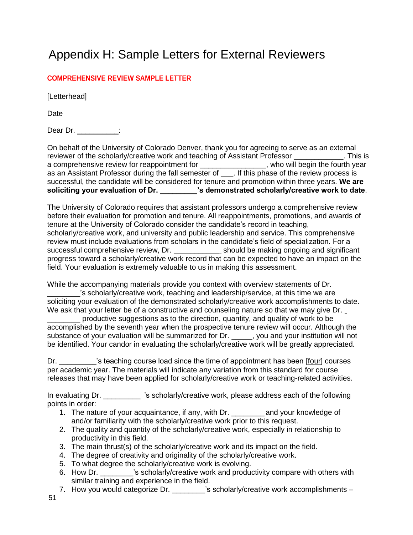# <span id="page-50-0"></span>Appendix H: Sample Letters for External Reviewers

#### **COMPREHENSIVE REVIEW SAMPLE LETTER**

[Letterhead]

**Date** 

Dear Dr. \_\_\_\_\_\_\_\_\_\_:

On behalf of the University of Colorado Denver, thank you for agreeing to serve as an external reviewer of the scholarly/creative work and teaching of Assistant Professor \_\_\_\_\_\_\_\_\_\_\_\_. This is a comprehensive review for reappointment for \_\_\_\_\_\_\_\_\_\_\_\_\_\_\_\_\_, who will begin the fourth year as an Assistant Professor during the fall semester of \_\_\_. If this phase of the review process is successful, the candidate will be considered for tenure and promotion within three years. **We are soliciting your evaluation of Dr. \_\_\_\_\_\_\_\_\_'s demonstrated scholarly/creative work to date**.

The University of Colorado requires that assistant professors undergo a comprehensive review before their evaluation for promotion and tenure. All reappointments, promotions, and awards of tenure at the University of Colorado consider the candidate's record in teaching, scholarly/creative work, and university and public leadership and service. This comprehensive review must include evaluations from scholars in the candidate's field of specialization. For a successful comprehensive review, Dr. \_\_\_\_\_\_\_\_\_\_\_ should be making ongoing and significant progress toward a scholarly/creative work record that can be expected to have an impact on the field. Your evaluation is extremely valuable to us in making this assessment.

While the accompanying materials provide you context with overview statements of Dr.

's scholarly/creative work, teaching and leadership/service, at this time we are soliciting your evaluation of the demonstrated scholarly/creative work accomplishments to date. We ask that your letter be of a constructive and counseling nature so that we may give Dr.

productive suggestions as to the direction, quantity, and quality of work to be accomplished by the seventh year when the prospective tenure review will occur. Although the substance of your evaluation will be summarized for Dr. \_\_\_\_\_, you and your institution will not be identified. Your candor in evaluating the scholarly/creative work will be greatly appreciated.

Dr.  $\blacksquare$  's teaching course load since the time of appointment has been [four] courses per academic year. The materials will indicate any variation from this standard for course releases that may have been applied for scholarly/creative work or teaching-related activities.

In evaluating Dr. \_\_\_\_\_\_\_\_\_ 's scholarly/creative work, please address each of the following points in order:

- 1. The nature of your acquaintance, if any, with Dr. \_\_\_\_\_\_\_\_ and your knowledge of and/or familiarity with the scholarly/creative work prior to this request.
- 2. The quality and quantity of the scholarly/creative work, especially in relationship to productivity in this field.
- 3. The main thrust(s) of the scholarly/creative work and its impact on the field.
- 4. The degree of creativity and originality of the scholarly/creative work.
- 5. To what degree the scholarly/creative work is evolving.
- 6. How Dr.  $\sim$  is scholarly/creative work and productivity compare with others with similar training and experience in the field.
- 7. How you would categorize Dr. \_\_\_\_\_\_\_'s scholarly/creative work accomplishments –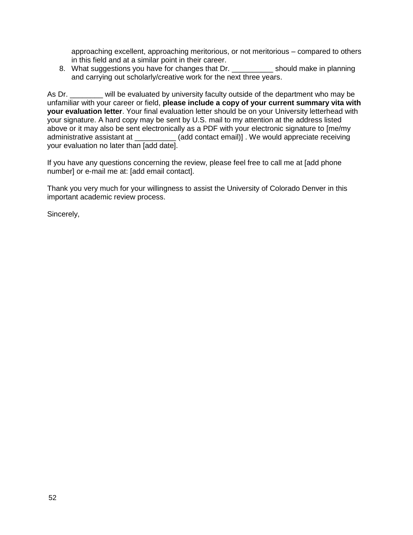approaching excellent, approaching meritorious, or not meritorious – compared to others in this field and at a similar point in their career.

8. What suggestions you have for changes that Dr. \_\_\_\_\_\_\_\_\_\_\_\_ should make in planning and carrying out scholarly/creative work for the next three years.

As Dr. \_\_\_\_\_\_\_ will be evaluated by university faculty outside of the department who may be unfamiliar with your career or field, **please include a copy of your current summary vita with your evaluation letter**. Your final evaluation letter should be on your University letterhead with your signature. A hard copy may be sent by U.S. mail to my attention at the address listed above or it may also be sent electronically as a PDF with your electronic signature to [me/my administrative assistant at \_\_\_\_\_\_\_\_\_\_\_(add contact email)]. We would appreciate receiving your evaluation no later than [add date].

If you have any questions concerning the review, please feel free to call me at [add phone number] or e-mail me at: [add email contact].

Thank you very much for your willingness to assist the University of Colorado Denver in this important academic review process.

Sincerely,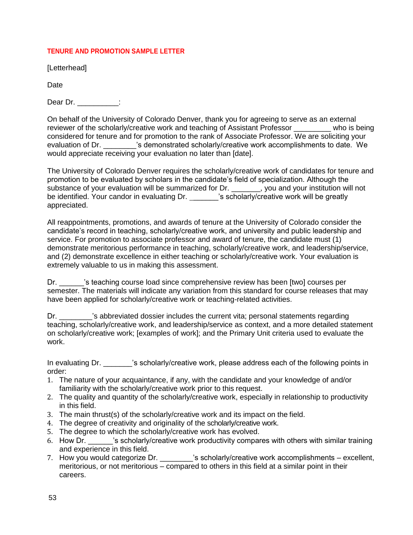#### **TENURE AND PROMOTION SAMPLE LETTER**

[Letterhead]

Date

Dear Dr. \_\_\_\_\_\_\_\_\_\_:

On behalf of the University of Colorado Denver, thank you for agreeing to serve as an external reviewer of the scholarly/creative work and teaching of Assistant Professor who is being considered for tenure and for promotion to the rank of Associate Professor. We are soliciting your evaluation of Dr. \_\_\_\_\_\_\_'s demonstrated scholarly/creative work accomplishments to date. We would appreciate receiving your evaluation no later than [date].

The University of Colorado Denver requires the scholarly/creative work of candidates for tenure and promotion to be evaluated by scholars in the candidate's field of specialization. Although the substance of your evaluation will be summarized for Dr. \_\_\_\_\_\_\_, you and your institution will not be identified. Your candor in evaluating Dr. \_\_\_\_\_\_'s scholarly/creative work will be greatly appreciated.

All reappointments, promotions, and awards of tenure at the University of Colorado consider the candidate's record in teaching, scholarly/creative work, and university and public leadership and service. For promotion to associate professor and award of tenure, the candidate must (1) demonstrate meritorious performance in teaching, scholarly/creative work, and leadership/service, and (2) demonstrate excellence in either teaching or scholarly/creative work. Your evaluation is extremely valuable to us in making this assessment.

Dr.  $\blacksquare$  's teaching course load since comprehensive review has been [two] courses per semester. The materials will indicate any variation from this standard for course releases that may have been applied for scholarly/creative work or teaching-related activities.

Dr.  $\cdot$  's abbreviated dossier includes the current vita; personal statements regarding teaching, scholarly/creative work, and leadership/service as context, and a more detailed statement on scholarly/creative work; [examples of work]; and the Primary Unit criteria used to evaluate the work.

In evaluating Dr. \_\_\_\_\_\_\_\_'s scholarly/creative work, please address each of the following points in order:

- 1. The nature of your acquaintance, if any, with the candidate and your knowledge of and/or familiarity with the scholarly/creative work prior to this request.
- 2. The quality and quantity of the scholarly/creative work, especially in relationship to productivity in this field.
- 3. The main thrust(s) of the scholarly/creative work and its impact on the field.
- 4. The degree of creativity and originality of the scholarly/creative work.
- 5. The degree to which the scholarly/creative work has evolved.
- 6. How Dr. **Sacholarly/creative work productivity compares with others with similar training** and experience in this field.
- 7. How you would categorize Dr.  $\qquad \qquad$  's scholarly/creative work accomplishments excellent, meritorious, or not meritorious – compared to others in this field at a similar point in their careers.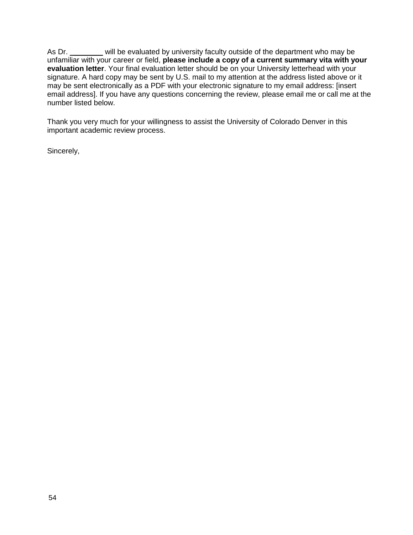As Dr. \_\_\_\_\_\_\_ will be evaluated by university faculty outside of the department who may be unfamiliar with your career or field, **please include a copy of a current summary vita with your evaluation letter**. Your final evaluation letter should be on your University letterhead with your signature. A hard copy may be sent by U.S. mail to my attention at the address listed above or it may be sent electronically as a PDF with your electronic signature to my email address: [insert email address[\].](mailto:Brian.Page@ucdenver.edu) If you have any questions concerning the review, please email me or call me at the number listed below.

Thank you very much for your willingness to assist the University of Colorado Denver in this important academic review process.

Sincerely,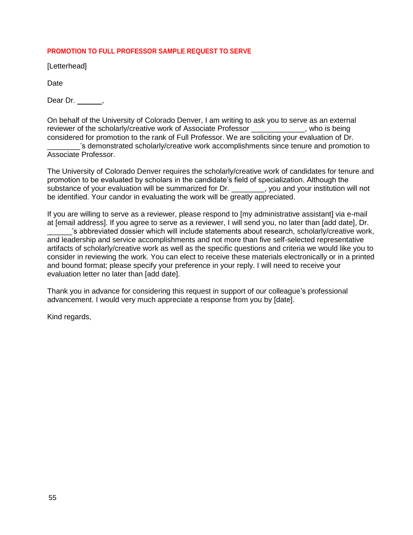#### **PROMOTION TO FULL PROFESSOR SAMPLE REQUEST TO SERVE**

[Letterhead]

Date

Dear Dr. \_\_\_\_\_\_,

On behalf of the University of Colorado Denver, I am writing to ask you to serve as an external reviewer of the scholarly/creative work of Associate Professor \_\_\_\_\_\_\_\_\_\_\_\_\_, who is being considered for promotion to the rank of Full Professor. We are soliciting your evaluation of Dr.

\_\_\_\_\_\_\_\_'s demonstrated scholarly/creative work accomplishments since tenure and promotion to Associate Professor.

The University of Colorado Denver requires the scholarly/creative work of candidates for tenure and promotion to be evaluated by scholars in the candidate's field of specialization. Although the substance of your evaluation will be summarized for Dr. \_\_\_\_\_\_\_\_, you and your institution will not be identified. Your candor in evaluating the work will be greatly appreciated.

If you are willing to serve as a reviewer, please respond to [my administrative assistant] via e-mail at [email address]. If you agree to serve as a reviewer, I will send you, no later than [add date], Dr.

's abbreviated dossier which will include statements about research, scholarly/creative work, and leadership and service accomplishments and not more than five self-selected representative artifacts of scholarly/creative work as well as the specific questions and criteria we would like you to consider in reviewing the work. You can elect to receive these materials electronically or in a printed and bound format; please specify your preference in your reply. I will need to receive your evaluation letter no later than [add date].

Thank you in advance for considering this request in support of our colleague's professional advancement. I would very much appreciate a response from you by [date].

Kind regards,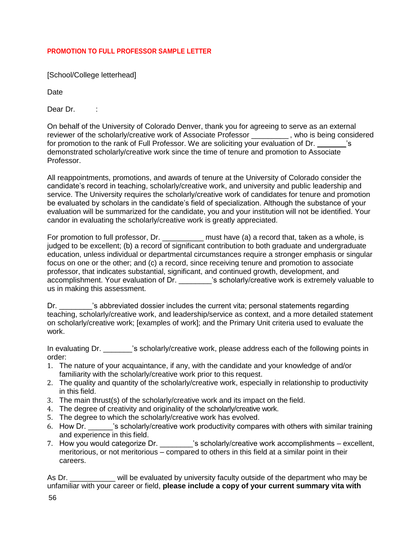#### **PROMOTION TO FULL PROFESSOR SAMPLE LETTER**

[School/College letterhead]

Date

Dear Dr. :

On behalf of the University of Colorado Denver, thank you for agreeing to serve as an external reviewer of the scholarly/creative work of Associate Professor , who is being considered for promotion to the rank of Full Professor. We are soliciting your evaluation of Dr. \_\_\_\_\_\_\_'s demonstrated scholarly/creative work since the time of tenure and promotion to Associate Professor.

All reappointments, promotions, and awards of tenure at the University of Colorado consider the candidate's record in teaching, scholarly/creative work, and university and public leadership and service. The University requires the scholarly/creative work of candidates for tenure and promotion be evaluated by scholars in the candidate's field of specialization. Although the substance of your evaluation will be summarized for the candidate, you and your institution will not be identified. Your candor in evaluating the scholarly/creative work is greatly appreciated.

For promotion to full professor, Dr. \_\_\_\_\_\_\_\_\_\_\_\_ must have (a) a record that, taken as a whole, is judged to be excellent; (b) a record of significant contribution to both graduate and undergraduate education, unless individual or departmental circumstances require a stronger emphasis or singular focus on one or the other; and (c) a record, since receiving tenure and promotion to associate professor, that indicates substantial, significant, and continued growth, development, and accomplishment. Your evaluation of Dr. \_\_\_\_\_\_\_\_'s scholarly/creative work is extremely valuable to us in making this assessment.

Dr.  $\qquad \qquad$  's abbreviated dossier includes the current vita; personal statements regarding teaching, scholarly/creative work, and leadership/service as context, and a more detailed statement on scholarly/creative work; [examples of work]; and the Primary Unit criteria used to evaluate the work.

In evaluating Dr. \_\_\_\_\_\_'s scholarly/creative work, please address each of the following points in order:

- 1. The nature of your acquaintance, if any, with the candidate and your knowledge of and/or familiarity with the scholarly/creative work prior to this request.
- 2. The quality and quantity of the scholarly/creative work, especially in relationship to productivity in this field.
- 3. The main thrust(s) of the scholarly/creative work and its impact on the field.
- 4. The degree of creativity and originality of the scholarly/creative work.
- 5. The degree to which the scholarly/creative work has evolved.
- 6. How Dr. **Example 2**'s scholarly/creative work productivity compares with others with similar training and experience in this field.
- 7. How you would categorize Dr. \_\_\_\_\_\_\_\_'s scholarly/creative work accomplishments excellent, meritorious, or not meritorious – compared to others in this field at a similar point in their careers.

As Dr. \_\_\_\_\_\_\_\_\_\_ will be evaluated by university faculty outside of the department who may be unfamiliar with your career or field, **please include a copy of your current summary vita with**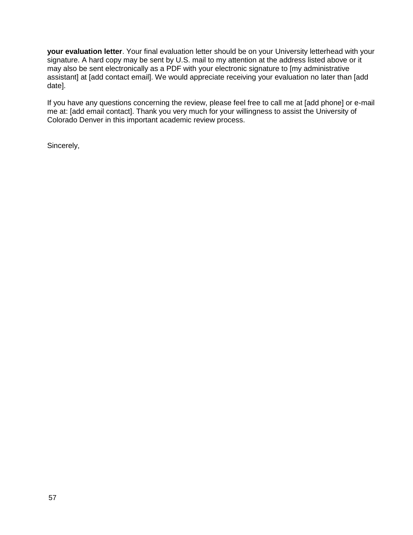**your evaluation letter**. Your final evaluation letter should be on your University letterhead with your signature. A hard copy may be sent by U.S. mail to my attention at the address listed above or it may also be sent electronically as a PDF with your electronic signature to [my administrative assistant] at [add contact email]. We would appreciate receiving your evaluation no later than [add date].

If you have any questions concerning the review, please feel free to call me at [add phone] or e-mail me at: [add email contact]. Thank you very much for your willingness to assist the University of Colorado Denver in this important academic review process.

Sincerely,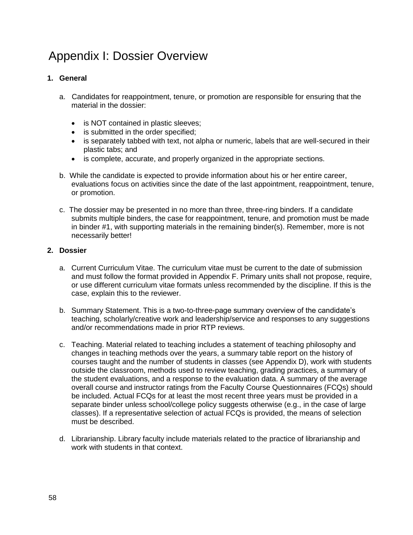# <span id="page-57-0"></span>Appendix I: Dossier Overview

#### **1. General**

- a. Candidates for reappointment, tenure, or promotion are responsible for ensuring that the material in the dossier:
	- is NOT contained in plastic sleeves;
	- is submitted in the order specified;
	- is separately tabbed with text, not alpha or numeric, labels that are well-secured in their plastic tabs; and
	- is complete, accurate, and properly organized in the appropriate sections.
- b. While the candidate is expected to provide information about his or her entire career, evaluations focus on activities since the date of the last appointment, reappointment, tenure, or promotion.
- c. The dossier may be presented in no more than three, three-ring binders. If a candidate submits multiple binders, the case for reappointment, tenure, and promotion must be made in binder #1, with supporting materials in the remaining binder(s). Remember, more is not necessarily better!

#### **2. Dossier**

- a. Current Curriculum Vitae. The curriculum vitae must be current to the date of submission and must follow the format provided in Appendix F. Primary units shall not propose, require, or use different curriculum vitae formats unless recommended by the discipline. If this is the case, explain this to the reviewer.
- b. Summary Statement. This is a two-to-three-page summary overview of the candidate's teaching, scholarly/creative work and leadership/service and responses to any suggestions and/or recommendations made in prior RTP reviews.
- c. Teaching. Material related to teaching includes a statement of teaching philosophy and changes in teaching methods over the years, a summary table report on the history of courses taught and the number of students in classes (see Appendix D), work with students outside the classroom, methods used to review teaching, grading practices, a summary of the student evaluations, and a response to the evaluation data. A summary of the average overall course and instructor ratings from the Faculty Course Questionnaires (FCQs) should be included. Actual FCQs for at least the most recent three years must be provided in a separate binder unless school/college policy suggests otherwise (e.g., in the case of large classes). If a representative selection of actual FCQs is provided, the means of selection must be described.
- d. Librarianship. Library faculty include materials related to the practice of librarianship and work with students in that context.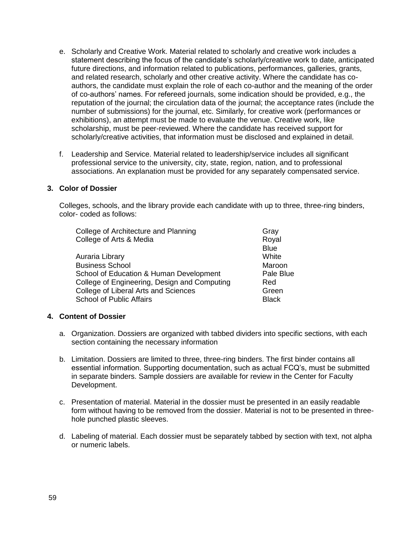- e. Scholarly and Creative Work. Material related to scholarly and creative work includes a statement describing the focus of the candidate's scholarly/creative work to date, anticipated future directions, and information related to publications, performances, galleries, grants, and related research, scholarly and other creative activity. Where the candidate has coauthors, the candidate must explain the role of each co-author and the meaning of the order of co-authors' names. For refereed journals, some indication should be provided, e.g., the reputation of the journal; the circulation data of the journal; the acceptance rates (include the number of submissions) for the journal, etc. Similarly, for creative work (performances or exhibitions), an attempt must be made to evaluate the venue. Creative work, like scholarship, must be peer-reviewed. Where the candidate has received support for scholarly/creative activities, that information must be disclosed and explained in detail.
- f. Leadership and Service. Material related to leadership/service includes all significant professional service to the university, city, state, region, nation, and to professional associations. An explanation must be provided for any separately compensated service.

#### **3. Color of Dossier**

Colleges, schools, and the library provide each candidate with up to three, three-ring binders, color- coded as follows:

| College of Architecture and Planning         | Gray         |
|----------------------------------------------|--------------|
| College of Arts & Media                      | Royal        |
|                                              | <b>Blue</b>  |
| Auraria Library                              | White        |
| <b>Business School</b>                       | Maroon       |
| School of Education & Human Development      | Pale Blue    |
| College of Engineering, Design and Computing | Red          |
| College of Liberal Arts and Sciences         | Green        |
| <b>School of Public Affairs</b>              | <b>Black</b> |

#### **4. Content of Dossier**

- a. Organization. Dossiers are organized with tabbed dividers into specific sections, with each section containing the necessary information
- b. Limitation. Dossiers are limited to three, three-ring binders. The first binder contains all essential information. Supporting documentation, such as actual FCQ's, must be submitted in separate binders. Sample dossiers are available for review in the Center for Faculty Development.
- c. Presentation of material. Material in the dossier must be presented in an easily readable form without having to be removed from the dossier. Material is not to be presented in threehole punched plastic sleeves.
- d. Labeling of material. Each dossier must be separately tabbed by section with text, not alpha or numeric labels.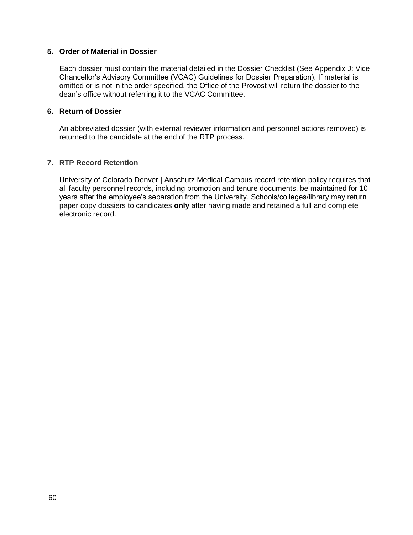#### **5. Order of Material in Dossier**

Each dossier must contain the material detailed in the Dossier Checklist (See Appendix J: Vice Chancellor's Advisory Committee (VCAC) Guidelines for Dossier Preparation). If material is omitted or is not in the order specified, the Office of the Provost will return the dossier to the dean's office without referring it to the VCAC Committee.

#### **6. Return of Dossier**

An abbreviated dossier (with external reviewer information and personnel actions removed) is returned to the candidate at the end of the RTP process.

#### **7. RTP Record Retention**

University of Colorado Denver | Anschutz Medical Campus record retention policy requires that all faculty personnel records, including promotion and tenure documents, be maintained for 10 years after the employee's separation from the University. Schools/colleges/library may return paper copy dossiers to candidates **only** after having made and retained a full and complete electronic record.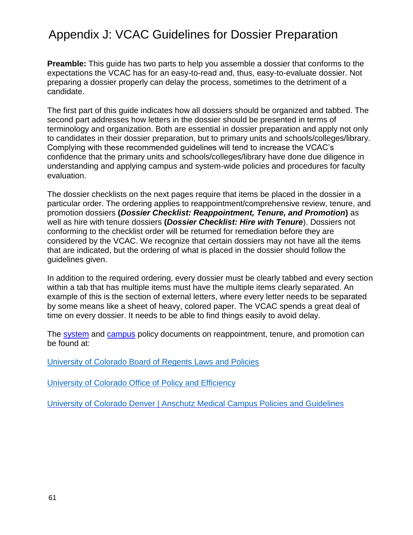### <span id="page-60-0"></span>Appendix J: VCAC Guidelines for Dossier Preparation

**Preamble:** This guide has two parts to help you assemble a dossier that conforms to the expectations the VCAC has for an easy-to-read and, thus, easy-to-evaluate dossier. Not preparing a dossier properly can delay the process, sometimes to the detriment of a candidate.

The first part of this guide indicates how all dossiers should be organized and tabbed. The second part addresses how letters in the dossier should be presented in terms of terminology and organization. Both are essential in dossier preparation and apply not only to candidates in their dossier preparation, but to primary units and schools/colleges/library. Complying with these recommended guidelines will tend to increase the VCAC's confidence that the primary units and schools/colleges/library have done due diligence in understanding and applying campus and system-wide policies and procedures for faculty evaluation.

The dossier checklists on the next pages require that items be placed in the dossier in a particular order. The ordering applies to reappointment/comprehensive review, tenure, and promotion dossiers **(***Dossier Checklist: Reappointment, Tenure, and Promotion***)** as well as hire with tenure dossiers **(***Dossier Checklist: Hire with Tenure*). Dossiers not conforming to the checklist order will be returned for remediation before they are considered by the VCAC. We recognize that certain dossiers may not have all the items that are indicated, but the ordering of what is placed in the dossier should follow the guidelines given.

In addition to the required ordering, every dossier must be clearly tabbed and every section within a tab that has multiple items must have the multiple items clearly separated. An example of this is the section of external letters, where every letter needs to be separated by some means like a sheet of heavy, colored paper. The VCAC spends a great deal of time on every dossier. It needs to be able to find things easily to avoid delay.

The [system](https://www.cu.edu/ope/aps/1022) and [campus](https://www.ucdenver.edu/faculty_staff/employees/policies/Policies%20Library/1XXX%20Academic%20and%20Faculty%20Affairs/1004%20-%20Reappointment,%20Tenure,%20and%20Promotion%20Review.pdf) policy documents on reappointment, tenure, and promotion can be found at:

[University of Colorado Board of Regents Laws and Policies](https://www.cu.edu/regents/laws-and-policies)

[University of Colorado Office of Policy and Efficiency](https://www.cu.edu/ope/aps)

[University of Colorado Denver | Anschutz Medical Campus Policies and Guidelines](https://www.ucdenver.edu/faculty_staff/employees/policies/Pages/default.aspx)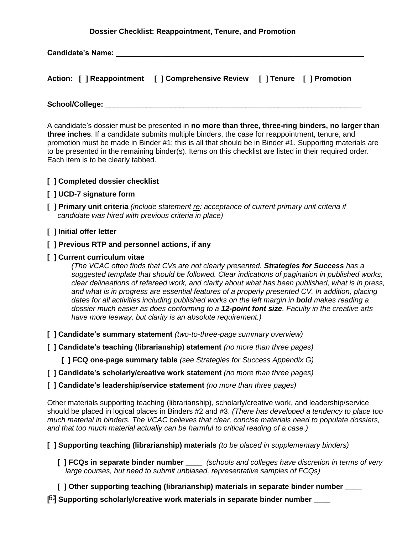#### **Dossier Checklist: Reappointment, Tenure, and Promotion**

**Candidate's Name:** \_\_\_\_\_\_\_\_\_\_\_\_\_\_\_\_\_\_\_\_\_\_\_\_\_\_\_\_\_\_\_\_\_\_\_\_\_\_\_\_\_\_\_\_\_\_\_\_\_\_\_\_\_\_\_\_\_\_\_\_

|  | Action: [ ] Reappointment [ ] Comprehensive Review [ ] Tenure [ ] Promotion |  |
|--|-----------------------------------------------------------------------------|--|
|  |                                                                             |  |

**School/College:** \_\_\_\_\_\_\_\_\_\_\_\_\_\_\_\_\_\_\_\_\_\_\_\_\_\_\_\_\_\_\_\_\_\_\_\_\_\_\_\_\_\_\_\_\_\_\_\_\_\_\_\_\_\_\_\_\_\_\_\_\_\_

A candidate's dossier must be presented in **no more than three, three-ring binders, no larger than three inches**. If a candidate submits multiple binders, the case for reappointment, tenure, and promotion must be made in Binder #1; this is all that should be in Binder #1. Supporting materials are to be presented in the remaining binder(s). Items on this checklist are listed in their required order. Each item is to be clearly tabbed.

#### **[ ] Completed dossier checklist**

#### **[ ] UCD-7 signature form**

**[ ] Primary unit criteria** *(include statement re: acceptance of current primary unit criteria if candidate was hired with previous criteria in place)*

#### **[ ] Initial offer letter**

#### **[ ] Previous RTP and personnel actions, if any**

#### **[ ] Current curriculum vitae**

*(The VCAC often finds that CVs are not clearly presented. Strategies for Success has a suggested template that should be followed. Clear indications of pagination in published works, clear delineations of refereed work, and clarity about what has been published, what is in press, and what is in progress are essential features of a properly presented CV. In addition, placing dates for all activities including published works on the left margin in bold makes reading a dossier much easier as does conforming to a 12-point font size. Faculty in the creative arts have more leeway, but clarity is an absolute requirement.)*

- **[ ] Candidate's summary statement** *(two-to-three-page summary overview)*
- **[ ] Candidate's teaching (librarianship) statement** *(no more than three pages)*

**[ ] FCQ one-page summary table** *(see Strategies for Success Appendix G)*

- **[ ] Candidate's scholarly/creative work statement** *(no more than three pages)*
- **[ ] Candidate's leadership/service statement** *(no more than three pages)*

Other materials supporting teaching (librarianship), scholarly/creative work, and leadership/service should be placed in logical places in Binders #2 and #3. *(There has developed a tendency to place too much material in binders. The VCAC believes that clear, concise materials need to populate dossiers, and that too much material actually can be harmful to critical reading of a case.)*

**[ ] Supporting teaching (librarianship) materials** *(to be placed in supplementary binders)*

- **[ ] FCQs in separate binder number \_\_\_\_** *(schools and colleges have discretion in terms of very large courses, but need to submit unbiased, representative samples of FCQs)*
- [ ] Other supporting teaching (librarianship) materials in separate binder number
- [64] Supporting scholarly/creative work materials in separate binder number \_\_\_\_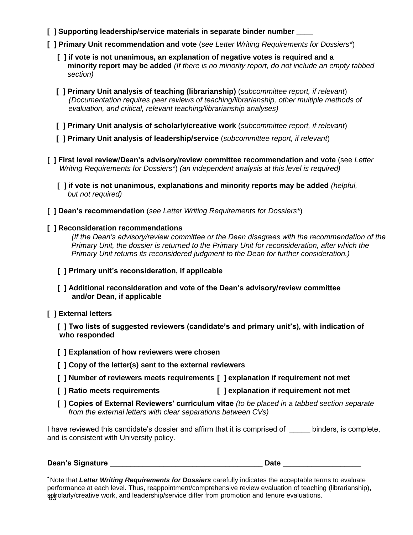- **[ ] Supporting leadership/service materials in separate binder number \_\_\_\_**
- **[ ] Primary Unit recommendation and vote** (*see Letter Writing Requirements for Dossiers\**)
	- **[ ] if vote is not unanimous, an explanation of negative votes is required and a minority report may be added** *(If there is no minority report, do not include an empty tabbed* *section)*
	- **[ ] Primary Unit analysis of teaching (librarianship)** (*subcommittee report, if relevant*) *(Documentation requires peer reviews of teaching/librarianship, other multiple methods of evaluation, and critical, relevant teaching/librarianship analyses)*
	- **[ ] Primary Unit analysis of scholarly/creative work** (*subcommittee report, if relevant*)
	- **[ ] Primary Unit analysis of leadership/service** (*subcommittee report, if relevant*)
- **[ ] First level review/Dean's advisory/review committee recommendation and vote** (see *Letter Writing Requirements for Dossiers\**) *(an independent analysis at this level is required)*
	- **[ ] if vote is not unanimous, explanations and minority reports may be added** *(helpful, but not required)*
- **[ ] Dean's recommendation** (*see Letter Writing Requirements for Dossiers\**)

#### **[ ] Reconsideration recommendations**

*(If the Dean's advisory/review committee or the Dean disagrees with the recommendation of the Primary Unit, the dossier is returned to the Primary Unit for reconsideration, after which the Primary Unit returns its reconsidered judgment to the Dean for further consideration.)*

- **[ ] Primary unit's reconsideration, if applicable**
- **[ ] Additional reconsideration and vote of the Dean's advisory/review committee and/or Dean, if applicable**
- **[ ] External letters**

 **[ ] Two lists of suggested reviewers (candidate's and primary unit's), with indication of who responded**

- **[ ] Explanation of how reviewers were chosen**
- **[ ] Copy of the letter(s) sent to the external reviewers**
- **[ ] Number of reviewers meets requirements [ ] explanation if requirement not met**
- **[ ] Ratio meets requirements [ ] explanation if requirement not met**
- **[ ] Copies of External Reviewers' curriculum vitae** *(to be placed in a tabbed section separate from the external letters with clear separations between CVs)*

I have reviewed this candidate's dossier and affirm that it is comprised of binders, is complete, and is consistent with University policy.

| <b>Dean's Signature</b> |  |
|-------------------------|--|
|                         |  |

63 scholarly/creative work, and leadership/service differ from promotion and tenure evaluations.*\** Note that *Letter Writing Requirements for Dossiers* carefully indicates the acceptable terms to evaluate performance at each level. Thus, reappointment/comprehensive review evaluation of teaching (librarianship),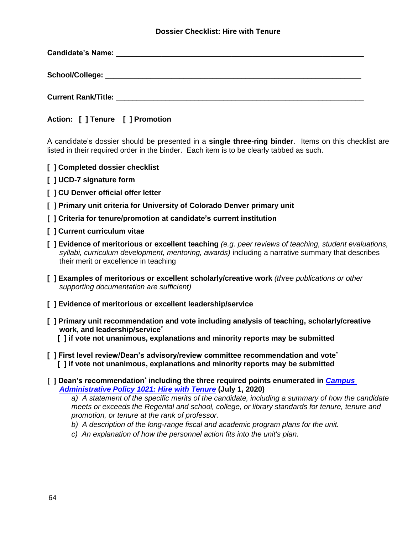#### **Dossier Checklist: Hire with Tenure**

| Candidate's Name: The Candidate's Name: |  |  |
|-----------------------------------------|--|--|
|                                         |  |  |
| <b>Current Rank/Title:</b>              |  |  |

**Action: [ ] Tenure [ ] Promotion**

A candidate's dossier should be presented in a **single three-ring binder**. Items on this checklist are listed in their required order in the binder. Each item is to be clearly tabbed as such.

- **[ ] Completed dossier checklist**
- **[ ] UCD-7 signature form**
- **[ ] CU Denver official offer letter**
- **[ ] Primary unit criteria for University of Colorado Denver primary unit**
- **[ ] Criteria for tenure/promotion at candidate's current institution**
- **[ ] Current curriculum vitae**
- **[ ] Evidence of meritorious or excellent teaching** *(e.g. peer reviews of teaching, student evaluations, syllabi, curriculum development, mentoring, awards)* including a narrative summary that describes their merit or excellence in teaching
- **[ ] Examples of meritorious or excellent scholarly/creative work** *(three publications or other supporting documentation are sufficient)*
- **[ ] Evidence of meritorious or excellent leadership/service**
- **[ ] Primary unit recommendation and vote including analysis of teaching, scholarly/creative work, and leadership/service***\**
	- **[ ] if vote not unanimous, explanations and minority reports may be submitted**
- **[ ] First level review/Dean's advisory/review committee recommendation and vote***\**  **[ ] if vote not unanimous, explanations and minority reports may be submitted**
- **[ ] Dean's recommendation***\** **including the three required points enumerated in** *[Campus](https://www.ucdenver.edu/faculty_staff/employees/policies/Policies%20Library/1XXX%20Academic%20and%20Faculty%20Affairs/1021%20-%20Faculty%20Hires%20With%20Tenure%20CU%20Denver.pdf)  [Administrative Policy 1021: Hire with Tenure](https://www.ucdenver.edu/faculty_staff/employees/policies/Policies%20Library/1XXX%20Academic%20and%20Faculty%20Affairs/1021%20-%20Faculty%20Hires%20With%20Tenure%20CU%20Denver.pdf)* **(July 1, 2020)**

*a) A statement of the specific merits of the candidate, including a summary of how the candidate meets or exceeds the Regental and school, college, or library standards for tenure, tenure and promotion, or tenure at the rank of professor.* 

- *b) A description of the long-range fiscal and academic program plans for the unit.*
- *c) An explanation of how the personnel action fits into the unit's plan.*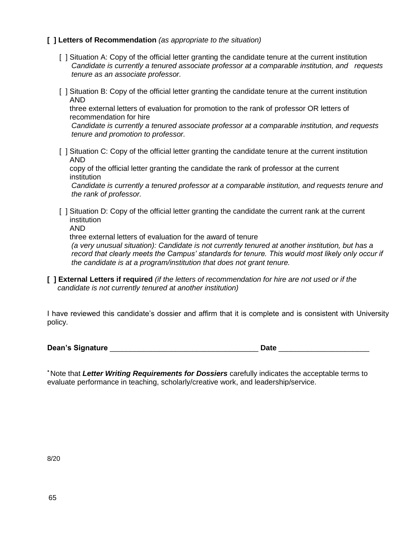#### **[ ] Letters of Recommendation** *(as appropriate to the situation)*

- [ ] Situation A: Copy of the official letter granting the candidate tenure at the current institution *Candidate is currently a tenured associate professor at a comparable institution, and requests tenure as an associate professor.*
- [ ] Situation B: Copy of the official letter granting the candidate tenure at the current institution AND

 three external letters of evaluation for promotion to the rank of professor OR letters of recommendation for hire

*Candidate is currently a tenured associate professor at a comparable institution, and requests tenure and promotion to professor.*

[ ] Situation C: Copy of the official letter granting the candidate tenure at the current institution AND

 copy of the official letter granting the candidate the rank of professor at the current institution

*Candidate is currently a tenured professor at a comparable institution, and requests tenure and the rank of professor.*

- [ ] Situation D: Copy of the official letter granting the candidate the current rank at the current institution
	- AND

three external letters of evaluation for the award of tenure

*(a very unusual situation): Candidate is not currently tenured at another institution, but has a record that clearly meets the Campus' standards for tenure. This would most likely only occur if the candidate is at a program/institution that does not grant tenure.*

**[ ] External Letters if required** *(if the letters of recommendation for hire are not used or if the candidate is not currently tenured at another institution)*

I have reviewed this candidate's dossier and affirm that it is complete and is consistent with University policy.

|  | <b>Dean's Signature</b> |  |
|--|-------------------------|--|
|--|-------------------------|--|

**Date**  $\Box$ 

*\** Note that *Letter Writing Requirements for Dossiers* carefully indicates the acceptable terms to evaluate performance in teaching, scholarly/creative work, and leadership/service.

8/20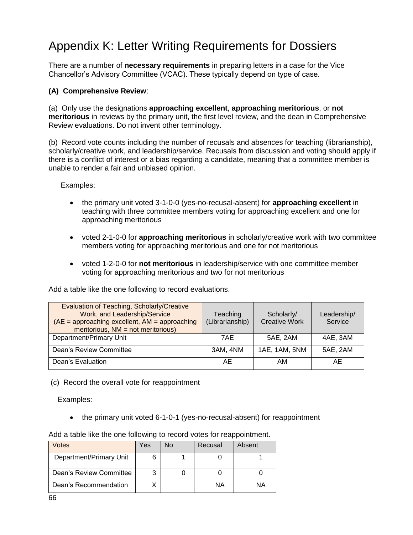# <span id="page-65-0"></span>Appendix K: Letter Writing Requirements for Dossiers

There are a number of **necessary requirements** in preparing letters in a case for the Vice Chancellor's Advisory Committee (VCAC). These typically depend on type of case.

#### **(A) Comprehensive Review**:

(a) Only use the designations **approaching excellent**, **approaching meritorious**, or **not meritorious** in reviews by the primary unit, the first level review, and the dean in Comprehensive Review evaluations. Do not invent other terminology.

(b) Record vote counts including the number of recusals and absences for teaching (librarianship), scholarly/creative work, and leadership/service. Recusals from discussion and voting should apply if there is a conflict of interest or a bias regarding a candidate, meaning that a committee member is unable to render a fair and unbiased opinion.

Examples:

- the primary unit voted 3-1-0-0 (yes-no-recusal-absent) for **approaching excellent** in teaching with three committee members voting for approaching excellent and one for approaching meritorious
- voted 2-1-0-0 for **approaching meritorious** in scholarly/creative work with two committee members voting for approaching meritorious and one for not meritorious
- voted 1-2-0-0 for **not meritorious** in leadership/service with one committee member voting for approaching meritorious and two for not meritorious

Add a table like the one following to record evaluations.

| Evaluation of Teaching, Scholarly/Creative<br>Work, and Leadership/Service<br>$(AE =$ approaching excellent, $AM =$ approaching<br>meritorious, $NM = not$ meritorious) | Teaching<br>(Librarianship) | Scholarly/<br><b>Creative Work</b> | Leadership/<br>Service |
|-------------------------------------------------------------------------------------------------------------------------------------------------------------------------|-----------------------------|------------------------------------|------------------------|
| Department/Primary Unit                                                                                                                                                 | 7AE                         | 5AE. 2AM                           | 4AE, 3AM               |
| Dean's Review Committee                                                                                                                                                 | 3AM, 4NM                    | 1AE, 1AM, 5NM                      | 5AE, 2AM               |
| Dean's Evaluation                                                                                                                                                       | AE                          | AM                                 | AE.                    |

(c) Record the overall vote for reappointment

Examples:

the primary unit voted 6-1-0-1 (yes-no-recusal-absent) for reappointment

| Votes                   | Yes | N٥ | Recusal | Absent |
|-------------------------|-----|----|---------|--------|
| Department/Primary Unit |     |    |         |        |
| Dean's Review Committee |     |    |         |        |
| Dean's Recommendation   |     |    | ΝA      |        |

Add a table like the one following to record votes for reappointment.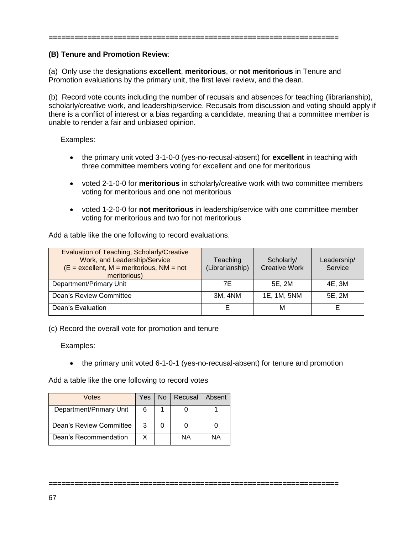#### **===================================================================**

#### **(B) Tenure and Promotion Review**:

(a) Only use the designations **excellent**, **meritorious**, or **not meritorious** in Tenure and Promotion evaluations by the primary unit, the first level review, and the dean.

(b) Record vote counts including the number of recusals and absences for teaching (librarianship), scholarly/creative work, and leadership/service. Recusals from discussion and voting should apply if there is a conflict of interest or a bias regarding a candidate, meaning that a committee member is unable to render a fair and unbiased opinion.

#### Examples:

- the primary unit voted 3-1-0-0 (yes-no-recusal-absent) for **excellent** in teaching with three committee members voting for excellent and one for meritorious
- voted 2-1-0-0 for **meritorious** in scholarly/creative work with two committee members voting for meritorious and one not meritorious
- voted 1-2-0-0 for **not meritorious** in leadership/service with one committee member voting for meritorious and two for not meritorious

Add a table like the one following to record evaluations.

| <b>Evaluation of Teaching, Scholarly/Creative</b><br>Work, and Leadership/Service<br>$(E = $ excellent, M = meritorious, NM = not<br>meritorious) | Teaching<br>(Librarianship) | Scholarly/<br><b>Creative Work</b> | Leadership/<br>Service |
|---------------------------------------------------------------------------------------------------------------------------------------------------|-----------------------------|------------------------------------|------------------------|
| Department/Primary Unit                                                                                                                           | 7Е                          | 5E, 2M                             | 4E, 3M                 |
| Dean's Review Committee                                                                                                                           | 3M, 4NM                     | 1E, 1M, 5NM                        | 5E, 2M                 |
| Dean's Evaluation                                                                                                                                 | E                           | м                                  |                        |

(c) Record the overall vote for promotion and tenure

Examples:

• the primary unit voted 6-1-0-1 (yes-no-recusal-absent) for tenure and promotion

Add a table like the one following to record votes

| Votes                   | Yes: | No   Recusal | Absent |
|-------------------------|------|--------------|--------|
| Department/Primary Unit | 6    |              |        |
| Dean's Review Committee | 3    |              |        |
| Dean's Recommendation   | x    | NА           | NΑ     |

**===================================================================**